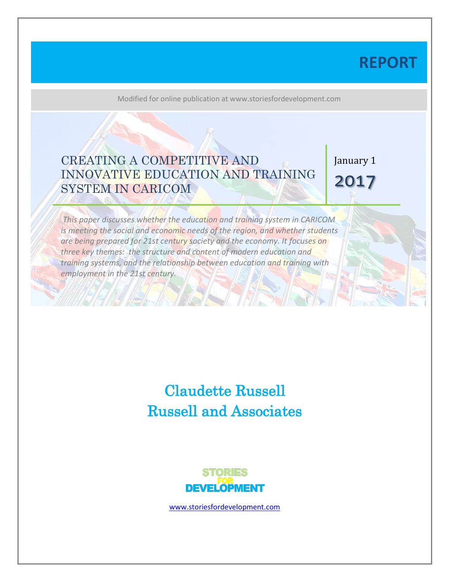# **REPORT**

Modified for online publication at www.storiesfordevelopment.com

# CREATING A COMPETITIVE AND INNOVATIVE EDUCATION AND TRAINING SYSTEM IN CARICOM

January 1 2017

*This paper discusses whether the education and training system in CARICOM is meeting the social and economic needs of the region, and whether students are being prepared for 21st century society and the economy. It focuses on three key themes: the structure and content of modern education and training systems, and the relationship between education and training with employment in the 21st century.*

> Claudette Russell Russell and Associates



[www.storiesfordevelopment.com](http://www.storiesfordevelopment.com/)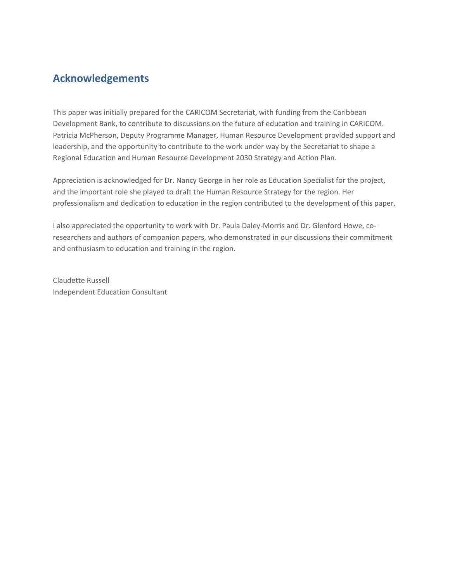## **Acknowledgements**

This paper was initially prepared for the CARICOM Secretariat, with funding from the Caribbean Development Bank, to contribute to discussions on the future of education and training in CARICOM. Patricia McPherson, Deputy Programme Manager, Human Resource Development provided support and leadership, and the opportunity to contribute to the work under way by the Secretariat to shape a Regional Education and Human Resource Development 2030 Strategy and Action Plan.

Appreciation is acknowledged for Dr. Nancy George in her role as Education Specialist for the project, and the important role she played to draft the Human Resource Strategy for the region. Her professionalism and dedication to education in the region contributed to the development of this paper.

I also appreciated the opportunity to work with Dr. Paula Daley-Morris and Dr. Glenford Howe, coresearchers and authors of companion papers, who demonstrated in our discussions their commitment and enthusiasm to education and training in the region.

Claudette Russell Independent Education Consultant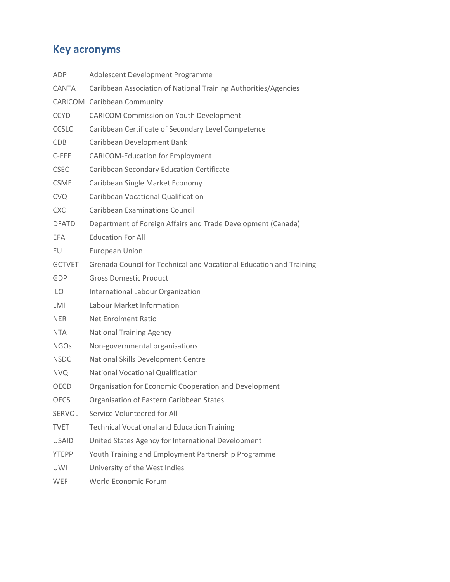# **Key acronyms**

| Adolescent Development Programme                                    |
|---------------------------------------------------------------------|
| Caribbean Association of National Training Authorities/Agencies     |
| <b>CARICOM</b> Caribbean Community                                  |
| <b>CARICOM Commission on Youth Development</b>                      |
| Caribbean Certificate of Secondary Level Competence                 |
| Caribbean Development Bank                                          |
| <b>CARICOM-Education for Employment</b>                             |
| Caribbean Secondary Education Certificate                           |
| Caribbean Single Market Economy                                     |
| Caribbean Vocational Qualification                                  |
| <b>Caribbean Examinations Council</b>                               |
| Department of Foreign Affairs and Trade Development (Canada)        |
| <b>Education For All</b>                                            |
| European Union                                                      |
| Grenada Council for Technical and Vocational Education and Training |
| <b>Gross Domestic Product</b>                                       |
| International Labour Organization                                   |
| Labour Market Information                                           |
| <b>Net Enrolment Ratio</b>                                          |
| <b>National Training Agency</b>                                     |
| Non-governmental organisations                                      |
| National Skills Development Centre                                  |
| <b>National Vocational Qualification</b>                            |
| Organisation for Economic Cooperation and Development               |
| Organisation of Eastern Caribbean States                            |
| Service Volunteered for All                                         |
| <b>Technical Vocational and Education Training</b>                  |
| United States Agency for International Development                  |
| Youth Training and Employment Partnership Programme                 |
| University of the West Indies                                       |
| World Economic Forum                                                |
|                                                                     |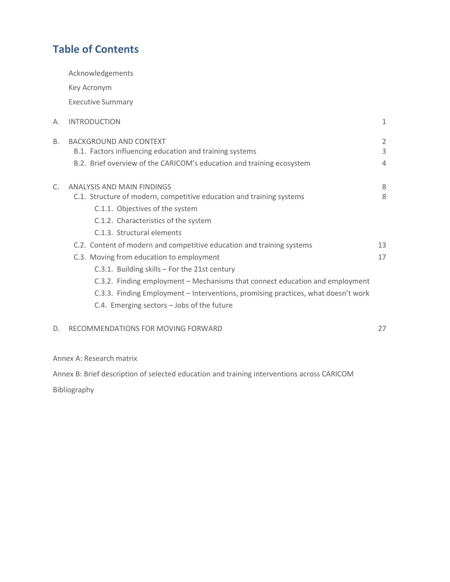## **Table of Contents**

Key Acronym

Acknowledgements

|    | <b>Executive Summary</b>                                                                                                                                                                                                                                                                                                                                                                                                                                                                                                                                                                             |                                       |
|----|------------------------------------------------------------------------------------------------------------------------------------------------------------------------------------------------------------------------------------------------------------------------------------------------------------------------------------------------------------------------------------------------------------------------------------------------------------------------------------------------------------------------------------------------------------------------------------------------------|---------------------------------------|
| А. | <b>INTRODUCTION</b>                                                                                                                                                                                                                                                                                                                                                                                                                                                                                                                                                                                  | $\mathbf{1}$                          |
| В. | <b>BACKGROUND AND CONTEXT</b><br>B.1. Factors influencing education and training systems<br>B.2. Brief overview of the CARICOM's education and training ecosystem                                                                                                                                                                                                                                                                                                                                                                                                                                    | $\overline{2}$<br>3<br>$\overline{4}$ |
| C. | ANALYSIS AND MAIN FINDINGS<br>C.1. Structure of modern, competitive education and training systems<br>C.1.1. Objectives of the system<br>C.1.2. Characteristics of the system<br>C.1.3. Structural elements<br>C.2. Content of modern and competitive education and training systems<br>C.3. Moving from education to employment<br>C.3.1. Building skills - For the 21st century<br>C.3.2. Finding employment – Mechanisms that connect education and employment<br>C.3.3. Finding Employment - Interventions, promising practices, what doesn't work<br>C.4. Emerging sectors - Jobs of the future | 8<br>8<br>13<br>17                    |
| D. | RECOMMENDATIONS FOR MOVING FORWARD                                                                                                                                                                                                                                                                                                                                                                                                                                                                                                                                                                   | 27                                    |
|    |                                                                                                                                                                                                                                                                                                                                                                                                                                                                                                                                                                                                      |                                       |

Annex A: Research matrix

Annex B: Brief description of selected education and training interventions across CARICOM

Bibliography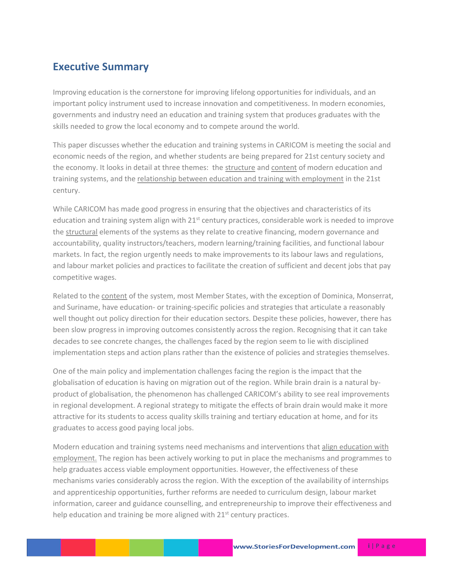## **Executive Summary**

Improving education is the cornerstone for improving lifelong opportunities for individuals, and an important policy instrument used to increase innovation and competitiveness. In modern economies, governments and industry need an education and training system that produces graduates with the skills needed to grow the local economy and to compete around the world.

This paper discusses whether the education and training systems in CARICOM is meeting the social and economic needs of the region, and whether students are being prepared for 21st century society and the economy. It looks in detail at three themes: the structure and content of modern education and training systems, and the relationship between education and training with employment in the 21st century.

While CARICOM has made good progress in ensuring that the objectives and characteristics of its education and training system align with 21<sup>st</sup> century practices, considerable work is needed to improve the structural elements of the systems as they relate to creative financing, modern governance and accountability, quality instructors/teachers, modern learning/training facilities, and functional labour markets. In fact, the region urgently needs to make improvements to its labour laws and regulations, and labour market policies and practices to facilitate the creation of sufficient and decent jobs that pay competitive wages.

Related to the content of the system, most Member States, with the exception of Dominica, Monserrat, and Suriname, have education- or training-specific policies and strategies that articulate a reasonably well thought out policy direction for their education sectors. Despite these policies, however, there has been slow progress in improving outcomes consistently across the region. Recognising that it can take decades to see concrete changes, the challenges faced by the region seem to lie with disciplined implementation steps and action plans rather than the existence of policies and strategies themselves.

One of the main policy and implementation challenges facing the region is the impact that the globalisation of education is having on migration out of the region. While brain drain is a natural byproduct of globalisation, the phenomenon has challenged CARICOM's ability to see real improvements in regional development. A regional strategy to mitigate the effects of brain drain would make it more attractive for its students to access quality skills training and tertiary education at home, and for its graduates to access good paying local jobs.

Modern education and training systems need mechanisms and interventions that align education with employment. The region has been actively working to put in place the mechanisms and programmes to help graduates access viable employment opportunities. However, the effectiveness of these mechanisms varies considerably across the region. With the exception of the availability of internships and apprenticeship opportunities, further reforms are needed to curriculum design, labour market information, career and guidance counselling, and entrepreneurship to improve their effectiveness and help education and training be more aligned with  $21<sup>st</sup>$  century practices.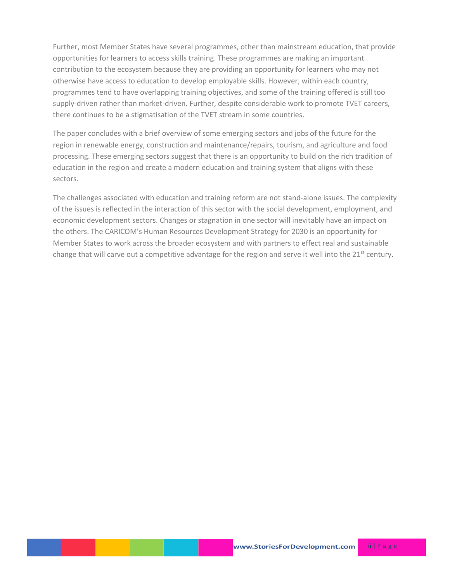Further, most Member States have several programmes, other than mainstream education, that provide opportunities for learners to access skills training. These programmes are making an important contribution to the ecosystem because they are providing an opportunity for learners who may not otherwise have access to education to develop employable skills. However, within each country, programmes tend to have overlapping training objectives, and some of the training offered is still too supply-driven rather than market-driven. Further, despite considerable work to promote TVET careers, there continues to be a stigmatisation of the TVET stream in some countries.

The paper concludes with a brief overview of some emerging sectors and jobs of the future for the region in renewable energy, construction and maintenance/repairs, tourism, and agriculture and food processing. These emerging sectors suggest that there is an opportunity to build on the rich tradition of education in the region and create a modern education and training system that aligns with these sectors.

The challenges associated with education and training reform are not stand-alone issues. The complexity of the issues is reflected in the interaction of this sector with the social development, employment, and economic development sectors. Changes or stagnation in one sector will inevitably have an impact on the others. The CARICOM's Human Resources Development Strategy for 2030 is an opportunity for Member States to work across the broader ecosystem and with partners to effect real and sustainable change that will carve out a competitive advantage for the region and serve it well into the 21<sup>st</sup> century.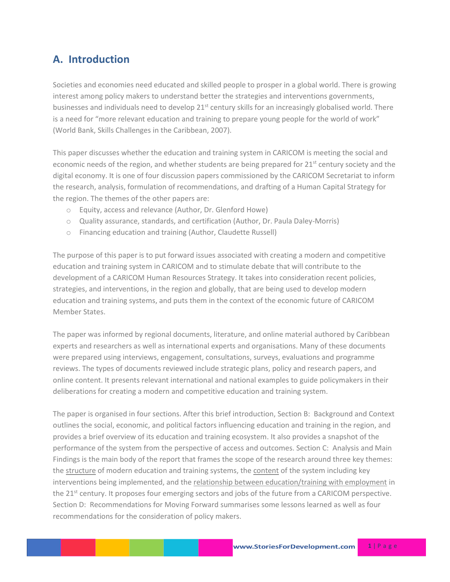## **A. Introduction**

Societies and economies need educated and skilled people to prosper in a global world. There is growing interest among policy makers to understand better the strategies and interventions governments, businesses and individuals need to develop  $21<sup>st</sup>$  century skills for an increasingly globalised world. There is a need for "more relevant education and training to prepare young people for the world of work" (World Bank, Skills Challenges in the Caribbean, 2007).

This paper discusses whether the education and training system in CARICOM is meeting the social and economic needs of the region, and whether students are being prepared for  $21<sup>st</sup>$  century society and the digital economy. It is one of four discussion papers commissioned by the CARICOM Secretariat to inform the research, analysis, formulation of recommendations, and drafting of a Human Capital Strategy for the region. The themes of the other papers are:

- o Equity, access and relevance (Author, Dr. Glenford Howe)
- o Quality assurance, standards, and certification (Author, Dr. Paula Daley-Morris)
- o Financing education and training (Author, Claudette Russell)

The purpose of this paper is to put forward issues associated with creating a modern and competitive education and training system in CARICOM and to stimulate debate that will contribute to the development of a CARICOM Human Resources Strategy. It takes into consideration recent policies, strategies, and interventions, in the region and globally, that are being used to develop modern education and training systems, and puts them in the context of the economic future of CARICOM Member States.

The paper was informed by regional documents, literature, and online material authored by Caribbean experts and researchers as well as international experts and organisations. Many of these documents were prepared using interviews, engagement, consultations, surveys, evaluations and programme reviews. The types of documents reviewed include strategic plans, policy and research papers, and online content. It presents relevant international and national examples to guide policymakers in their deliberations for creating a modern and competitive education and training system.

The paper is organised in four sections. After this brief introduction, Section B: Background and Context outlines the social, economic, and political factors influencing education and training in the region, and provides a brief overview of its education and training ecosystem. It also provides a snapshot of the performance of the system from the perspective of access and outcomes. Section C: Analysis and Main Findings is the main body of the report that frames the scope of the research around three key themes: the structure of modern education and training systems, the content of the system including key interventions being implemented, and the relationship between education/training with employment in the 21<sup>st</sup> century. It proposes four emerging sectors and jobs of the future from a CARICOM perspective. Section D: Recommendations for Moving Forward summarises some lessons learned as well as four recommendations for the consideration of policy makers.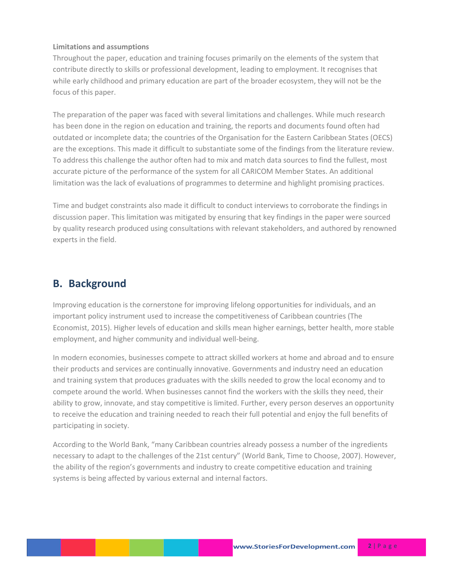#### **Limitations and assumptions**

Throughout the paper, education and training focuses primarily on the elements of the system that contribute directly to skills or professional development, leading to employment. It recognises that while early childhood and primary education are part of the broader ecosystem, they will not be the focus of this paper.

The preparation of the paper was faced with several limitations and challenges. While much research has been done in the region on education and training, the reports and documents found often had outdated or incomplete data; the countries of the Organisation for the Eastern Caribbean States (OECS) are the exceptions. This made it difficult to substantiate some of the findings from the literature review. To address this challenge the author often had to mix and match data sources to find the fullest, most accurate picture of the performance of the system for all CARICOM Member States. An additional limitation was the lack of evaluations of programmes to determine and highlight promising practices.

Time and budget constraints also made it difficult to conduct interviews to corroborate the findings in discussion paper. This limitation was mitigated by ensuring that key findings in the paper were sourced by quality research produced using consultations with relevant stakeholders, and authored by renowned experts in the field.

## **B. Background**

Improving education is the cornerstone for improving lifelong opportunities for individuals, and an important policy instrument used to increase the competitiveness of Caribbean countries (The Economist, 2015). Higher levels of education and skills mean higher earnings, better health, more stable employment, and higher community and individual well-being.

In modern economies, businesses compete to attract skilled workers at home and abroad and to ensure their products and services are continually innovative. Governments and industry need an education and training system that produces graduates with the skills needed to grow the local economy and to compete around the world. When businesses cannot find the workers with the skills they need, their ability to grow, innovate, and stay competitive is limited. Further, every person deserves an opportunity to receive the education and training needed to reach their full potential and enjoy the full benefits of participating in society.

According to the World Bank, "many Caribbean countries already possess a number of the ingredients necessary to adapt to the challenges of the 21st century" (World Bank, Time to Choose, 2007). However, the ability of the region's governments and industry to create competitive education and training systems is being affected by various external and internal factors.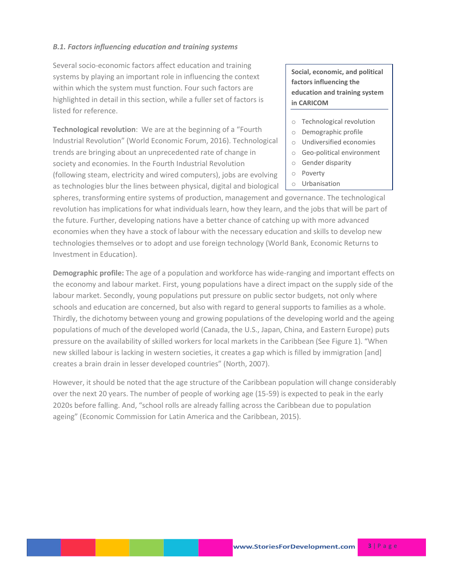### *B.1. Factors influencing education and training systems*

Several socio-economic factors affect education and training systems by playing an important role in influencing the context within which the system must function. Four such factors are highlighted in detail in this section, while a fuller set of factors is listed for reference.

**Technological revolution**: We are at the beginning of a "Fourth Industrial Revolution" (World Economic Forum, 2016). Technological trends are bringing about an unprecedented rate of change in society and economies. In the Fourth Industrial Revolution (following steam, electricity and wired computers), jobs are evolving as technologies blur the lines between physical, digital and biological **Social, economic, and political factors influencing the education and training system in CARICOM** 

- o Technological revolution
- o Demographic profile
- o Undiversified economies
- o Geo-political environment
- o Gender disparity
- o Poverty
- o Urbanisation

spheres, transforming entire systems of production, management and governance. The technological revolution has implications for what individuals learn, how they learn, and the jobs that will be part of the future. Further, developing nations have a better chance of catching up with more advanced economies when they have a stock of labour with the necessary education and skills to develop new technologies themselves or to adopt and use foreign technology (World Bank, Economic Returns to Investment in Education).

**Demographic profile:** The age of a population and workforce has wide-ranging and important effects on the economy and labour market. First, young populations have a direct impact on the supply side of the labour market. Secondly, young populations put pressure on public sector budgets, not only where schools and education are concerned, but also with regard to general supports to families as a whole. Thirdly, the dichotomy between young and growing populations of the developing world and the ageing populations of much of the developed world (Canada, the U.S., Japan, China, and Eastern Europe) puts pressure on the availability of skilled workers for local markets in the Caribbean (See Figure 1). "When new skilled labour is lacking in western societies, it creates a gap which is filled by immigration [and] creates a brain drain in lesser developed countries" (North, 2007).

However, it should be noted that the age structure of the Caribbean population will change considerably over the next 20 years. The number of people of working age (15-59) is expected to peak in the early 2020s before falling. And, "school rolls are already falling across the Caribbean due to population ageing" (Economic Commission for Latin America and the Caribbean, 2015).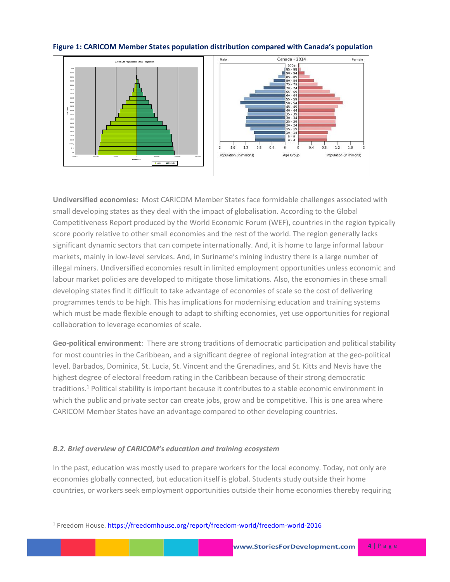

#### **Figure 1: CARICOM Member States population distribution compared with Canada's population**

**Undiversified economies:** Most CARICOM Member States face formidable challenges associated with small developing states as they deal with the impact of globalisation. According to the Global Competitiveness Report produced by the World Economic Forum (WEF), countries in the region typically score poorly relative to other small economies and the rest of the world. The region generally lacks significant dynamic sectors that can compete internationally. And, it is home to large informal labour markets, mainly in low-level services. And, in Suriname's mining industry there is a large number of illegal miners. Undiversified economies result in limited employment opportunities unless economic and labour market policies are developed to mitigate those limitations. Also, the economies in these small developing states find it difficult to take advantage of economies of scale so the cost of delivering programmes tends to be high. This has implications for modernising education and training systems which must be made flexible enough to adapt to shifting economies, yet use opportunities for regional collaboration to leverage economies of scale.

**Geo-political environment**: There are strong traditions of democratic participation and political stability for most countries in the Caribbean, and a significant degree of regional integration at the geo-political level. Barbados, Dominica, St. Lucia, St. Vincent and the Grenadines, and St. Kitts and Nevis have the highest degree of electoral freedom rating in the Caribbean because of their strong democratic traditions.<sup>1</sup> Political stability is important because it contributes to a stable economic environment in which the public and private sector can create jobs, grow and be competitive. This is one area where CARICOM Member States have an advantage compared to other developing countries.

## *B.2. Brief overview of CARICOM's education and training ecosystem*

 $\overline{\phantom{a}}$ 

In the past, education was mostly used to prepare workers for the local economy. Today, not only are economies globally connected, but education itself is global. Students study outside their home countries, or workers seek employment opportunities outside their home economies thereby requiring

<sup>&</sup>lt;sup>1</sup> Freedom House.<https://freedomhouse.org/report/freedom-world/freedom-world-2016>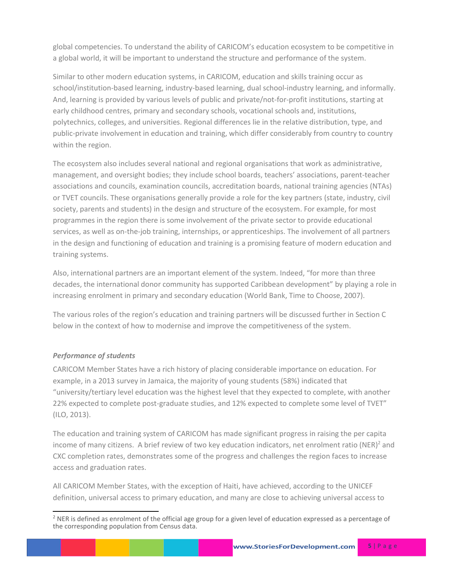global competencies. To understand the ability of CARICOM's education ecosystem to be competitive in a global world, it will be important to understand the structure and performance of the system.

Similar to other modern education systems, in CARICOM, education and skills training occur as school/institution-based learning, industry-based learning, dual school-industry learning, and informally. And, learning is provided by various levels of public and private/not-for-profit institutions, starting at early childhood centres, primary and secondary schools, vocational schools and, institutions, polytechnics, colleges, and universities. Regional differences lie in the relative distribution, type, and public-private involvement in education and training, which differ considerably from country to country within the region.

The ecosystem also includes several national and regional organisations that work as administrative, management, and oversight bodies; they include school boards, teachers' associations, parent-teacher associations and councils, examination councils, accreditation boards, national training agencies (NTAs) or TVET councils. These organisations generally provide a role for the key partners (state, industry, civil society, parents and students) in the design and structure of the ecosystem. For example, for most programmes in the region there is some involvement of the private sector to provide educational services, as well as on-the-job training, internships, or apprenticeships. The involvement of all partners in the design and functioning of education and training is a promising feature of modern education and training systems.

Also, international partners are an important element of the system. Indeed, "for more than three decades, the international donor community has supported Caribbean development" by playing a role in increasing enrolment in primary and secondary education (World Bank, Time to Choose, 2007).

The various roles of the region's education and training partners will be discussed further in Section C below in the context of how to modernise and improve the competitiveness of the system.

### *Performance of students*

CARICOM Member States have a rich history of placing considerable importance on education. For example, in a 2013 survey in Jamaica, the majority of young students (58%) indicated that "university/tertiary level education was the highest level that they expected to complete, with another 22% expected to complete post-graduate studies, and 12% expected to complete some level of TVET" (ILO, 2013).

The education and training system of CARICOM has made significant progress in raising the per capita income of many citizens. A brief review of two key education indicators, net enrolment ratio (NER)<sup>2</sup> and CXC completion rates, demonstrates some of the progress and challenges the region faces to increase access and graduation rates.

All CARICOM Member States, with the exception of Haiti, have achieved, according to the UNICEF definition, universal access to primary education, and many are close to achieving universal access to

l  $<sup>2</sup>$  NER is defined as enrolment of the official age group for a given level of education expressed as a percentage of</sup> the corresponding population from Census data.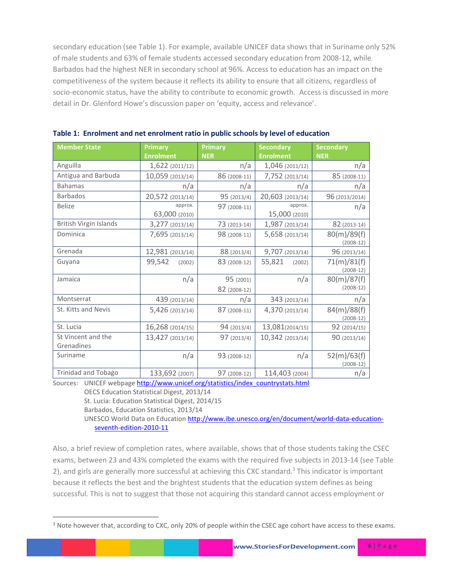secondary education (see Table 1). For example, available UNICEF data shows that in Suriname only 52% of male students and 63% of female students accessed secondary education from 2008-12, while Barbados had the highest NER in secondary school at 96%. Access to education has an impact on the competitiveness of the system because it reflects its ability to ensure that all citizens, regardless of socio-economic status, have the ability to contribute to economic growth. Access is discussed in more detail in Dr. Glenford Howe's discussion paper on 'equity, access and relevance'.

| <b>Member State</b>              | <b>Primary</b><br><b>Enrolment</b>                               | <b>Primary</b><br><b>NER</b>                                                                                                                                                                                                                   | <b>Secondary</b><br><b>Enrolment</b> | <b>Secondary</b><br><b>NER</b> |
|----------------------------------|------------------------------------------------------------------|------------------------------------------------------------------------------------------------------------------------------------------------------------------------------------------------------------------------------------------------|--------------------------------------|--------------------------------|
| Anguilla                         | 1,622 (2011/12)                                                  | n/a                                                                                                                                                                                                                                            | 1,046 (2011/12)                      | n/a                            |
| Antigua and Barbuda              | 10,059 (2013/14)                                                 | 86 (2008-11)                                                                                                                                                                                                                                   | 7,752 (2013/14)                      | 85 (2008-11)                   |
| <b>Bahamas</b>                   | n/a                                                              | n/a                                                                                                                                                                                                                                            | n/a                                  | n/a                            |
| <b>Barbados</b>                  | 20,572 (2013/14)                                                 | 95 (2013/4)                                                                                                                                                                                                                                    | 20,603 (2013/14)                     | 96 (2013/2014)                 |
| <b>Belize</b>                    | approx.<br>63,000 (2010)                                         | 97 (2008-11)                                                                                                                                                                                                                                   | approx.<br>15,000 (2010)             | n/a                            |
| British Virgin Islands           | 3,277 (2013/14)                                                  | 73 (2013-14)                                                                                                                                                                                                                                   | 1,987 (2013/14)                      | 82 (2013-14)                   |
| Dominica                         | 7,695 (2013/14)                                                  | 98 (2008-11)                                                                                                                                                                                                                                   | 5,658 (2013/14)                      | 80(m)/89(f)<br>$(2008-12)$     |
| Grenada                          | 12,981 (2013/14)                                                 | 88 (2013/4)                                                                                                                                                                                                                                    | 9,707 (2013/14)                      | 96 (2013/14)                   |
| Guyana                           | 99,542<br>(2002)                                                 | 83 (2008-12)                                                                                                                                                                                                                                   | 55,821<br>(2002)                     | 71(m)/81(f)<br>$(2008-12)$     |
| Jamaica                          | n/a                                                              | 95 (2001)<br>82 (2008-12)                                                                                                                                                                                                                      | n/a                                  | 80(m)/87(f)<br>$(2008-12)$     |
| Montserrat                       | 439 (2013/14)                                                    | n/a                                                                                                                                                                                                                                            | 343 (2013/14)                        | n/a                            |
| St. Kitts and Nevis              | 5,426 (2013/14)                                                  | 87 (2008-11)                                                                                                                                                                                                                                   | 4,370 (2013/14)                      | 84(m)/88(f)<br>$(2008-12)$     |
| St. Lucia                        | 16,268 (2014/15)                                                 | 94(2013/4)                                                                                                                                                                                                                                     | 13,081(2014/15)                      | 92 (2014/15)                   |
| St Vincent and the<br>Grenadines | 13,427 (2013/14)                                                 | 97(2013/4)                                                                                                                                                                                                                                     | 10,342 (2013/14)                     | 90 (2013/14)                   |
| Suriname                         | n/a                                                              | 93 (2008-12)                                                                                                                                                                                                                                   | n/a                                  | 52(m)/63(f)<br>$(2008-12)$     |
| Trinidad and Tobago              | 133,692 (2007)<br>$\mathbf{r}$ and $\mathbf{r}$ and $\mathbf{r}$ | 97 (2008-12)<br>and the company of the company of the company of the company of the company of the company of the company of the company of the company of the company of the company of the company of the company of the company of the comp | 114,403 (2004)                       | n/a                            |

Sources: UNICEF webpag[e http://www.unicef.org/statistics/index\\_countrystats.html](http://www.unicef.org/statistics/index_countrystats.html)

OECS Education Statistical Digest, 2013/14

St. Lucia: Education Statistical Digest, 2014/15

Barbados, Education Statistics, 2013/14

 $\overline{\phantom{a}}$ 

UNESCO World Data on Educatio[n http://www.ibe.unesco.org/en/document/world-data-education](http://www.ibe.unesco.org/en/document/world-data-education-seventh-edition-2010-11)[seventh-edition-2010-11](http://www.ibe.unesco.org/en/document/world-data-education-seventh-edition-2010-11)

Also, a brief review of completion rates, where available, shows that of those students taking the CSEC exams, between 23 and 43% completed the exams with the required five subjects in 2013-14 (see Table 2), and girls are generally more successful at achieving this CXC standard.<sup>3</sup> This indicator is important because it reflects the best and the brightest students that the education system defines as being successful. This is not to suggest that those not acquiring this standard cannot access employment or

<sup>&</sup>lt;sup>3</sup> Note however that, according to CXC, only 20% of people within the CSEC age cohort have access to these exams.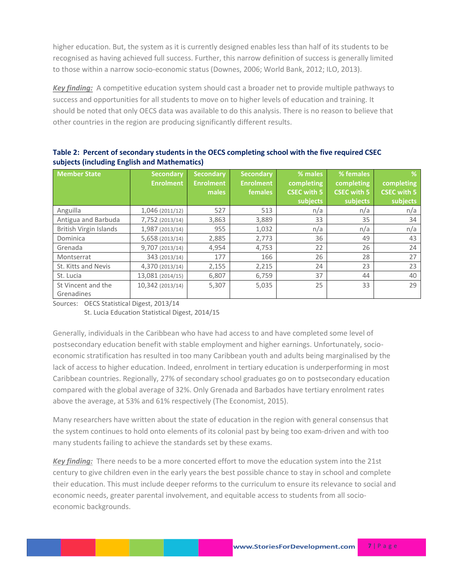higher education. But, the system as it is currently designed enables less than half of its students to be recognised as having achieved full success. Further, this narrow definition of success is generally limited to those within a narrow socio-economic status (Downes, 2006; World Bank, 2012; ILO, 2013).

*Key finding:* A competitive education system should cast a broader net to provide multiple pathways to success and opportunities for all students to move on to higher levels of education and training. It should be noted that only OECS data was available to do this analysis. There is no reason to believe that other countries in the region are producing significantly different results.

| <b>Member State</b>              | <b>Secondary</b><br><b>Enrolment</b> | <b>Secondary</b><br><b>Enrolment</b><br>males | <b>Secondary</b><br><b>Enrolment</b><br>females | % males<br>completing<br><b>CSEC with 5</b> | % females<br>completing<br><b>CSEC with 5</b> | %<br>completing<br><b>CSEC with 5</b> |
|----------------------------------|--------------------------------------|-----------------------------------------------|-------------------------------------------------|---------------------------------------------|-----------------------------------------------|---------------------------------------|
|                                  |                                      |                                               |                                                 | subjects                                    | subjects                                      | subjects                              |
| Anguilla                         | 1,046 (2011/12)                      | 527                                           | 513                                             | n/a                                         | n/a                                           | n/a                                   |
| Antigua and Barbuda              | 7,752 (2013/14)                      | 3,863                                         | 3,889                                           | 33                                          | 35                                            | 34                                    |
| <b>British Virgin Islands</b>    | 1,987 (2013/14)                      | 955                                           | 1,032                                           | n/a                                         | n/a                                           | n/a                                   |
| Dominica                         | 5,658 (2013/14)                      | 2,885                                         | 2,773                                           | 36                                          | 49                                            | 43                                    |
| Grenada                          | 9,707 (2013/14)                      | 4,954                                         | 4,753                                           | 22                                          | 26                                            | 24                                    |
| Montserrat                       | 343 (2013/14)                        | 177                                           | 166                                             | 26                                          | 28                                            | 27                                    |
| St. Kitts and Nevis              | 4,370 (2013/14)                      | 2,155                                         | 2,215                                           | 24                                          | 23                                            | 23                                    |
| St. Lucia                        | 13,081 (2014/15)                     | 6,807                                         | 6,759                                           | 37                                          | 44                                            | 40                                    |
| St Vincent and the<br>Grenadines | 10,342 (2013/14)                     | 5,307                                         | 5,035                                           | 25                                          | 33                                            | 29                                    |

**Table 2: Percent of secondary students in the OECS completing school with the five required CSEC subjects (including English and Mathematics)**

Sources: OECS Statistical Digest, 2013/14 St. Lucia Education Statistical Digest, 2014/15

Generally, individuals in the Caribbean who have had access to and have completed some level of postsecondary education benefit with stable employment and higher earnings. Unfortunately, socioeconomic stratification has resulted in too many Caribbean youth and adults being marginalised by the lack of access to higher education. Indeed, enrolment in tertiary education is underperforming in most Caribbean countries. Regionally, 27% of secondary school graduates go on to postsecondary education compared with the global average of 32%. Only Grenada and Barbados have tertiary enrolment rates above the average, at 53% and 61% respectively (The Economist, 2015).

Many researchers have written about the state of education in the region with general consensus that the system continues to hold onto elements of its colonial past by being too exam-driven and with too many students failing to achieve the standards set by these exams.

*Key finding:* There needs to be a more concerted effort to move the education system into the 21st century to give children even in the early years the best possible chance to stay in school and complete their education. This must include deeper reforms to the curriculum to ensure its relevance to social and economic needs, greater parental involvement, and equitable access to students from all socioeconomic backgrounds.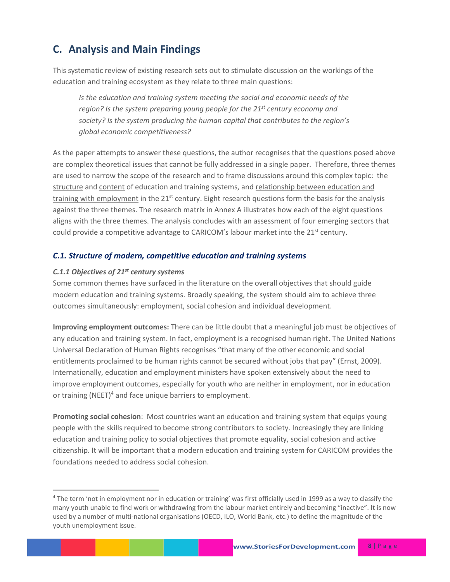## **C. Analysis and Main Findings**

This systematic review of existing research sets out to stimulate discussion on the workings of the education and training ecosystem as they relate to three main questions:

*Is the education and training system meeting the social and economic needs of the region? Is the system preparing young people for the 21st century economy and society? Is the system producing the human capital that contributes to the region's global economic competitiveness?*

As the paper attempts to answer these questions, the author recognises that the questions posed above are complex theoretical issues that cannot be fully addressed in a single paper. Therefore, three themes are used to narrow the scope of the research and to frame discussions around this complex topic: the structure and content of education and training systems, and relationship between education and training with employment in the 21<sup>st</sup> century. Eight research questions form the basis for the analysis against the three themes. The research matrix in Annex A illustrates how each of the eight questions aligns with the three themes. The analysis concludes with an assessment of four emerging sectors that could provide a competitive advantage to CARICOM's labour market into the  $21<sup>st</sup>$  century.

## *C.1. Structure of modern, competitive education and training systems*

#### *C.1.1 Objectives of 21st century systems*

l

Some common themes have surfaced in the literature on the overall objectives that should guide modern education and training systems. Broadly speaking, the system should aim to achieve three outcomes simultaneously: employment, social cohesion and individual development.

**Improving employment outcomes:** There can be little doubt that a meaningful job must be objectives of any education and training system. In fact, employment is a recognised human right. The United Nations Universal Declaration of Human Rights recognises "that many of the other economic and social entitlements proclaimed to be human rights cannot be secured without jobs that pay" (Ernst, 2009). Internationally, education and employment ministers have spoken extensively about the need to improve employment outcomes, especially for youth who are neither in employment, nor in education or training (NEET) $4$  and face unique barriers to employment.

**Promoting social cohesion**: Most countries want an education and training system that equips young people with the skills required to become strong contributors to society. Increasingly they are linking education and training policy to social objectives that promote equality, social cohesion and active citizenship. It will be important that a modern education and training system for CARICOM provides the foundations needed to address social cohesion.

<sup>4</sup> The term 'not in employment nor in education or training' was first officially used in 1999 as a way to classify the many youth unable to find work or withdrawing from the labour market entirely and becoming "inactive". It is now used by a number of multi-national organisations (OECD, ILO, World Bank, etc.) to define the magnitude of the youth unemployment issue.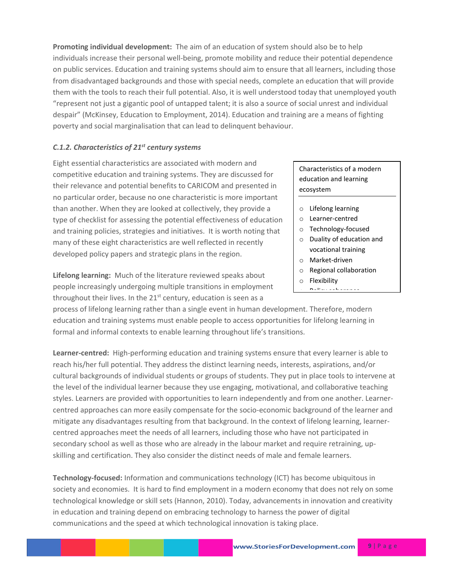**Promoting individual development:** The aim of an education of system should also be to help individuals increase their personal well-being, promote mobility and reduce their potential dependence on public services. Education and training systems should aim to ensure that all learners, including those from disadvantaged backgrounds and those with special needs, complete an education that will provide them with the tools to reach their full potential. Also, it is well understood today that unemployed youth "represent not just a gigantic pool of untapped talent; it is also a source of social unrest and individual despair" (McKinsey, Education to Employment, 2014). Education and training are a means of fighting poverty and social marginalisation that can lead to delinquent behaviour.

#### *C.1.2. Characteristics of 21st century systems*

Eight essential characteristics are associated with modern and competitive education and training systems. They are discussed for their relevance and potential benefits to CARICOM and presented in no particular order, because no one characteristic is more important than another. When they are looked at collectively, they provide a type of checklist for assessing the potential effectiveness of education and training policies, strategies and initiatives. It is worth noting that many of these eight characteristics are well reflected in recently developed policy papers and strategic plans in the region.

**Lifelong learning:** Much of the literature reviewed speaks about people increasingly undergoing multiple transitions in employment throughout their lives. In the  $21^{st}$  century, education is seen as a

process of lifelong learning rather than a single event in human development. Therefore, modern education and training systems must enable people to access opportunities for lifelong learning in formal and informal contexts to enable learning throughout life's transitions.

**Learner-centred:** High-performing education and training systems ensure that every learner is able to reach his/her full potential. They address the distinct learning needs, interests, aspirations, and/or cultural backgrounds of individual students or groups of students. They put in place tools to intervene at the level of the individual learner because they use engaging, motivational, and collaborative teaching styles. Learners are provided with opportunities to learn independently and from one another. Learnercentred approaches can more easily compensate for the socio-economic background of the learner and mitigate any disadvantages resulting from that background. In the context of lifelong learning, learnercentred approaches meet the needs of all learners, including those who have not participated in secondary school as well as those who are already in the labour market and require retraining, upskilling and certification. They also consider the distinct needs of male and female learners.

**Technology-focused:** Information and communications technology (ICT) has become ubiquitous in society and economies. It is hard to find employment in a modern economy that does not rely on some technological knowledge or skill sets (Hannon, 2010). Today, advancements in innovation and creativity in education and training depend on embracing technology to harness the power of digital communications and the speed at which technological innovation is taking place.

Characteristics of a modern education and learning ecosystem

- o Lifelong learning
- o Learner-centred
- o Technology-focused
- o Duality of education and vocational training
- o Market-driven
- o Regional collaboration
- o Flexibility
- o Policy coherence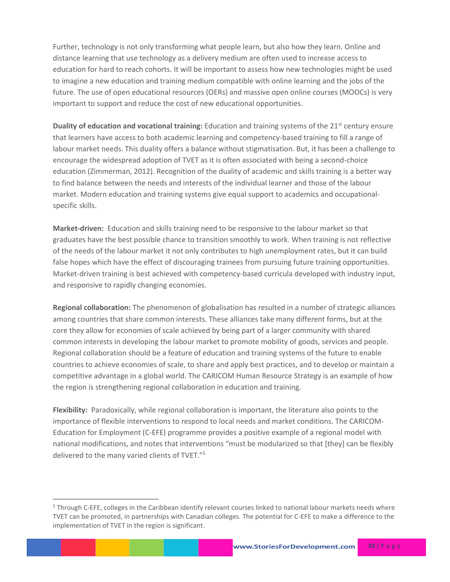Further, technology is not only transforming what people learn, but also how they learn. Online and distance learning that use technology as a delivery medium are often used to increase access to education for hard to reach cohorts. It will be important to assess how new technologies might be used to imagine a new education and training medium compatible with online learning and the jobs of the future. The use of open educational resources (OERs) and massive open online courses (MOOCs) is very important to support and reduce the cost of new educational opportunities.

**Duality of education and vocational training:** Education and training systems of the 21<sup>st</sup> century ensure that learners have access to both academic learning and competency-based training to fill a range of labour market needs. This duality offers a balance without stigmatisation. But, it has been a challenge to encourage the widespread adoption of TVET as it is often associated with being a second-choice education (Zimmerman, 2012). Recognition of the duality of academic and skills training is a better way to find balance between the needs and interests of the individual learner and those of the labour market. Modern education and training systems give equal support to academics and occupationalspecific skills.

**Market-driven:** Education and skills training need to be responsive to the labour market so that graduates have the best possible chance to transition smoothly to work. When training is not reflective of the needs of the labour market it not only contributes to high unemployment rates, but it can build false hopes which have the effect of discouraging trainees from pursuing future training opportunities. Market-driven training is best achieved with competency-based curricula developed with industry input, and responsive to rapidly changing economies.

**Regional collaboration:** The phenomenon of globalisation has resulted in a number of strategic alliances among countries that share common interests. These alliances take many different forms, but at the core they allow for economies of scale achieved by being part of a larger community with shared common interests in developing the labour market to promote mobility of goods, services and people. Regional collaboration should be a feature of education and training systems of the future to enable countries to achieve economies of scale, to share and apply best practices, and to develop or maintain a competitive advantage in a global world. The CARICOM Human Resource Strategy is an example of how the region is strengthening regional collaboration in education and training.

**Flexibility:** Paradoxically, while regional collaboration is important, the literature also points to the importance of flexible interventions to respond to local needs and market conditions. The CARICOM-Education for Employment (C-EFE) programme provides a positive example of a regional model with national modifications, and notes that interventions "must be modularized so that [they] can be flexibly delivered to the many varied clients of TVET."<sup>5</sup>

 $\overline{\phantom{a}}$ 

<sup>&</sup>lt;sup>5</sup> Through C-EFE, colleges in the Caribbean identify relevant courses linked to national labour markets needs where TVET can be promoted, in partnerships with Canadian colleges. The potential for C-EFE to make a difference to the implementation of TVET in the region is significant.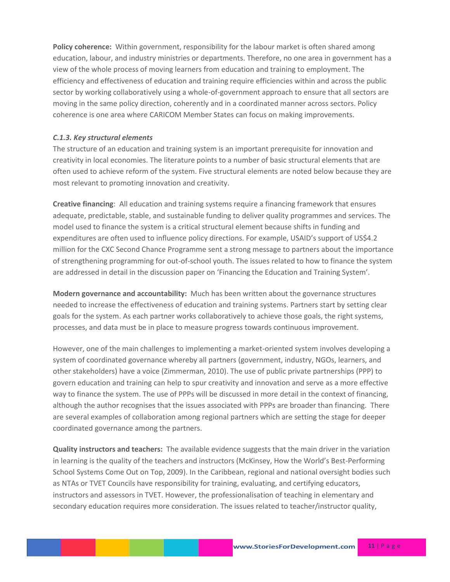**Policy coherence:** Within government, responsibility for the labour market is often shared among education, labour, and industry ministries or departments. Therefore, no one area in government has a view of the whole process of moving learners from education and training to employment. The efficiency and effectiveness of education and training require efficiencies within and across the public sector by working collaboratively using a whole-of-government approach to ensure that all sectors are moving in the same policy direction, coherently and in a coordinated manner across sectors. Policy coherence is one area where CARICOM Member States can focus on making improvements.

#### *C.1.3. Key structural elements*

The structure of an education and training system is an important prerequisite for innovation and creativity in local economies. The literature points to a number of basic structural elements that are often used to achieve reform of the system. Five structural elements are noted below because they are most relevant to promoting innovation and creativity.

**Creative financing**: All education and training systems require a financing framework that ensures adequate, predictable, stable, and sustainable funding to deliver quality programmes and services. The model used to finance the system is a critical structural element because shifts in funding and expenditures are often used to influence policy directions. For example, USAID's support of US\$4.2 million for the CXC Second Chance Programme sent a strong message to partners about the importance of strengthening programming for out-of-school youth. The issues related to how to finance the system are addressed in detail in the discussion paper on 'Financing the Education and Training System'.

**Modern governance and accountability:** Much has been written about the governance structures needed to increase the effectiveness of education and training systems. Partners start by setting clear goals for the system. As each partner works collaboratively to achieve those goals, the right systems, processes, and data must be in place to measure progress towards continuous improvement.

However, one of the main challenges to implementing a market-oriented system involves developing a system of coordinated governance whereby all partners (government, industry, NGOs, learners, and other stakeholders) have a voice (Zimmerman, 2010). The use of public private partnerships (PPP) to govern education and training can help to spur creativity and innovation and serve as a more effective way to finance the system. The use of PPPs will be discussed in more detail in the context of financing, although the author recognises that the issues associated with PPPs are broader than financing. There are several examples of collaboration among regional partners which are setting the stage for deeper coordinated governance among the partners.

**Quality instructors and teachers:** The available evidence suggests that the main driver in the variation in learning is the quality of the teachers and instructors (McKinsey, How the World's Best-Performing School Systems Come Out on Top, 2009). In the Caribbean, regional and national oversight bodies such as NTAs or TVET Councils have responsibility for training, evaluating, and certifying educators, instructors and assessors in TVET. However, the professionalisation of teaching in elementary and secondary education requires more consideration. The issues related to teacher/instructor quality,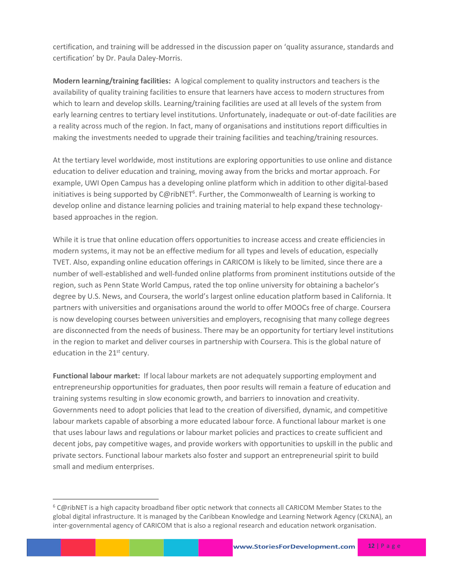certification, and training will be addressed in the discussion paper on 'quality assurance, standards and certification' by Dr. Paula Daley-Morris.

**Modern learning/training facilities:** A logical complement to quality instructors and teachers is the availability of quality training facilities to ensure that learners have access to modern structures from which to learn and develop skills. Learning/training facilities are used at all levels of the system from early learning centres to tertiary level institutions. Unfortunately, inadequate or out-of-date facilities are a reality across much of the region. In fact, many of organisations and institutions report difficulties in making the investments needed to upgrade their training facilities and teaching/training resources.

At the tertiary level worldwide, most institutions are exploring opportunities to use online and distance education to deliver education and training, moving away from the bricks and mortar approach. For example, UWI Open Campus has a developing online platform which in addition to other digital-based initiatives is being supported by C@ribNET<sup>6</sup>. Further, the Commonwealth of Learning is working to develop online and distance learning policies and training material to help expand these technologybased approaches in the region.

While it is true that online education offers opportunities to increase access and create efficiencies in modern systems, it may not be an effective medium for all types and levels of education, especially TVET. Also, expanding online education offerings in CARICOM is likely to be limited, since there are a number of well-established and well-funded online platforms from prominent institutions outside of the region, such as Penn State World Campus, rated the top online university for obtaining a bachelor's degree by U.S. News, and Coursera, the world's largest online education platform based in California. It partners with universities and organisations around the world to offer MOOCs free of charge. Coursera is now developing courses between universities and employers, recognising that many college degrees are disconnected from the needs of business. There may be an opportunity for tertiary level institutions in the region to market and deliver courses in partnership with Coursera. This is the global nature of education in the 21<sup>st</sup> century.

**Functional labour market:** If local labour markets are not adequately supporting employment and entrepreneurship opportunities for graduates, then poor results will remain a feature of education and training systems resulting in slow economic growth, and barriers to innovation and creativity. Governments need to adopt policies that lead to the creation of diversified, dynamic, and competitive labour markets capable of absorbing a more educated labour force. A functional labour market is one that uses labour laws and regulations or labour market policies and practices to create sufficient and decent jobs, pay competitive wages, and provide workers with opportunities to upskill in the public and private sectors. Functional labour markets also foster and support an entrepreneurial spirit to build small and medium enterprises.

 $\overline{\phantom{a}}$ 

<sup>6</sup> C@ribNET is a high capacity broadband fiber optic network that connects all CARICOM Member States to the global digital infrastructure. It is managed by the Caribbean Knowledge and Learning Network Agency (CKLNA), an inter-governmental agency of CARICOM that is also a regional research and education network organisation.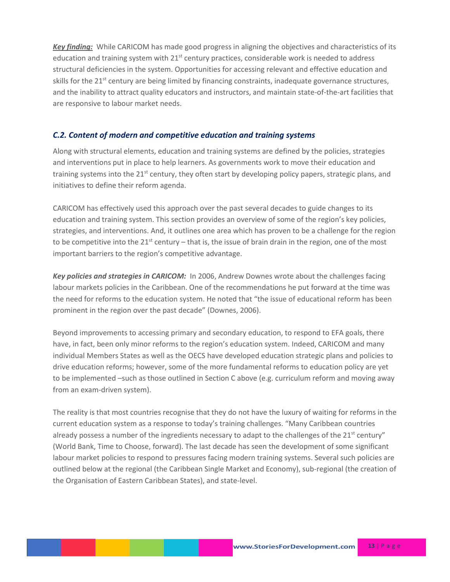*Key finding:* While CARICOM has made good progress in aligning the objectives and characteristics of its education and training system with  $21<sup>st</sup>$  century practices, considerable work is needed to address structural deficiencies in the system. Opportunities for accessing relevant and effective education and skills for the  $21^{st}$  century are being limited by financing constraints, inadequate governance structures, and the inability to attract quality educators and instructors, and maintain state-of-the-art facilities that are responsive to labour market needs.

### *C.2. Content of modern and competitive education and training systems*

Along with structural elements, education and training systems are defined by the policies, strategies and interventions put in place to help learners. As governments work to move their education and training systems into the  $21<sup>st</sup>$  century, they often start by developing policy papers, strategic plans, and initiatives to define their reform agenda.

CARICOM has effectively used this approach over the past several decades to guide changes to its education and training system. This section provides an overview of some of the region's key policies, strategies, and interventions. And, it outlines one area which has proven to be a challenge for the region to be competitive into the  $21^{st}$  century – that is, the issue of brain drain in the region, one of the most important barriers to the region's competitive advantage.

*Key policies and strategies in CARICOM:* In 2006, Andrew Downes wrote about the challenges facing labour markets policies in the Caribbean. One of the recommendations he put forward at the time was the need for reforms to the education system. He noted that "the issue of educational reform has been prominent in the region over the past decade" (Downes, 2006).

Beyond improvements to accessing primary and secondary education, to respond to EFA goals, there have, in fact, been only minor reforms to the region's education system. Indeed, CARICOM and many individual Members States as well as the OECS have developed education strategic plans and policies to drive education reforms; however, some of the more fundamental reforms to education policy are yet to be implemented –such as those outlined in Section C above (e.g. curriculum reform and moving away from an exam-driven system).

The reality is that most countries recognise that they do not have the luxury of waiting for reforms in the current education system as a response to today's training challenges. "Many Caribbean countries already possess a number of the ingredients necessary to adapt to the challenges of the  $21<sup>st</sup>$  century" (World Bank, Time to Choose, forward). The last decade has seen the development of some significant labour market policies to respond to pressures facing modern training systems. Several such policies are outlined below at the regional (the Caribbean Single Market and Economy), sub-regional (the creation of the Organisation of Eastern Caribbean States), and state-level.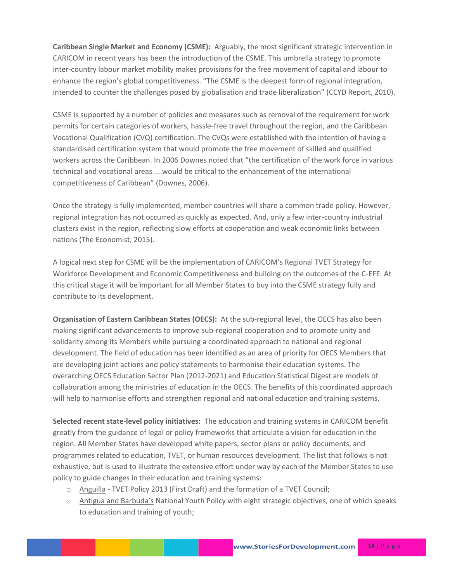**Caribbean Single Market and Economy (CSME):** Arguably, the most significant strategic intervention in CARICOM in recent years has been the introduction of the CSME. This umbrella strategy to promote inter-country labour market mobility makes provisions for the free movement of capital and labour to enhance the region's global competitiveness. "The CSME is the deepest form of regional integration, intended to counter the challenges posed by globalisation and trade liberalization" (CCYD Report, 2010).

CSME is supported by a number of policies and measures such as removal of the requirement for work permits for certain categories of workers, hassle-free travel throughout the region, and the Caribbean Vocational Qualification (CVQ) certification. The CVQs were established with the intention of having a standardised certification system that would promote the free movement of skilled and qualified workers across the Caribbean. In 2006 Downes noted that "the certification of the work force in various technical and vocational areas ....would be critical to the enhancement of the international competitiveness of Caribbean" (Downes, 2006).

Once the strategy is fully implemented, member countries will share a common trade policy. However, regional integration has not occurred as quickly as expected. And, only a few inter-country industrial clusters exist in the region, reflecting slow efforts at cooperation and weak economic links between nations (The Economist, 2015).

A logical next step for CSME will be the implementation of CARICOM's Regional TVET Strategy for Workforce Development and Economic Competitiveness and building on the outcomes of the C-EFE. At this critical stage it will be important for all Member States to buy into the CSME strategy fully and contribute to its development.

**Organisation of Eastern Caribbean States (OECS):** At the sub-regional level, the OECS has also been making significant advancements to improve sub-regional cooperation and to promote unity and solidarity among its Members while pursuing a coordinated approach to national and regional development. The field of education has been identified as an area of priority for OECS Members that are developing joint actions and policy statements to harmonise their education systems. The overarching OECS Education Sector Plan (2012-2021) and Education Statistical Digest are models of collaboration among the ministries of education in the OECS. The benefits of this coordinated approach will help to harmonise efforts and strengthen regional and national education and training systems.

**Selected recent state-level policy initiatives:** The education and training systems in CARICOM benefit greatly from the guidance of legal or policy frameworks that articulate a vision for education in the region. All Member States have developed white papers, sector plans or policy documents, and programmes related to education, TVET, or human resources development. The list that follows is not exhaustive, but is used to illustrate the extensive effort under way by each of the Member States to use policy to guide changes in their education and training systems:

- o Anguilla TVET Policy 2013 (First Draft) and the formation of a TVET Council;
- o Antigua and Barbuda's National Youth Policy with eight strategic objectives, one of which speaks to education and training of youth;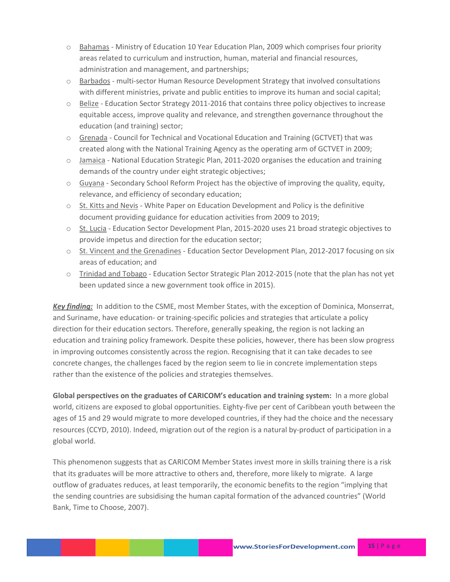- o Bahamas Ministry of Education 10 Year Education Plan, 2009 which comprises four priority areas related to curriculum and instruction, human, material and financial resources, administration and management, and partnerships;
- o Barbados multi-sector Human Resource Development Strategy that involved consultations with different ministries, private and public entities to improve its human and social capital;
- o Belize Education Sector Strategy 2011-2016 that contains three policy objectives to increase equitable access, improve quality and relevance, and strengthen governance throughout the education (and training) sector;
- o Grenada Council for Technical and Vocational Education and Training (GCTVET) that was created along with the National Training Agency as the operating arm of GCTVET in 2009;
- o Jamaica National Education Strategic Plan, 2011-2020 organises the education and training demands of the country under eight strategic objectives;
- $\circ$  Guyana Secondary School Reform Project has the objective of improving the quality, equity, relevance, and efficiency of secondary education;
- o St. Kitts and Nevis White Paper on Education Development and Policy is the definitive document providing guidance for education activities from 2009 to 2019;
- o St. Lucia Education Sector Development Plan, 2015-2020 uses 21 broad strategic objectives to provide impetus and direction for the education sector;
- o St. Vincent and the Grenadines Education Sector Development Plan, 2012-2017 focusing on six areas of education; and
- o Trinidad and Tobago Education Sector Strategic Plan 2012-2015 (note that the plan has not yet been updated since a new government took office in 2015).

*Key finding:* In addition to the CSME, most Member States, with the exception of Dominica, Monserrat, and Suriname, have education- or training-specific policies and strategies that articulate a policy direction for their education sectors. Therefore, generally speaking, the region is not lacking an education and training policy framework. Despite these policies, however, there has been slow progress in improving outcomes consistently across the region. Recognising that it can take decades to see concrete changes, the challenges faced by the region seem to lie in concrete implementation steps rather than the existence of the policies and strategies themselves.

**Global perspectives on the graduates of CARICOM's education and training system:** In a more global world, citizens are exposed to global opportunities. Eighty-five per cent of Caribbean youth between the ages of 15 and 29 would migrate to more developed countries, if they had the choice and the necessary resources (CCYD, 2010). Indeed, migration out of the region is a natural by-product of participation in a global world.

This phenomenon suggests that as CARICOM Member States invest more in skills training there is a risk that its graduates will be more attractive to others and, therefore, more likely to migrate. A large outflow of graduates reduces, at least temporarily, the economic benefits to the region "implying that the sending countries are subsidising the human capital formation of the advanced countries" (World Bank, Time to Choose, 2007).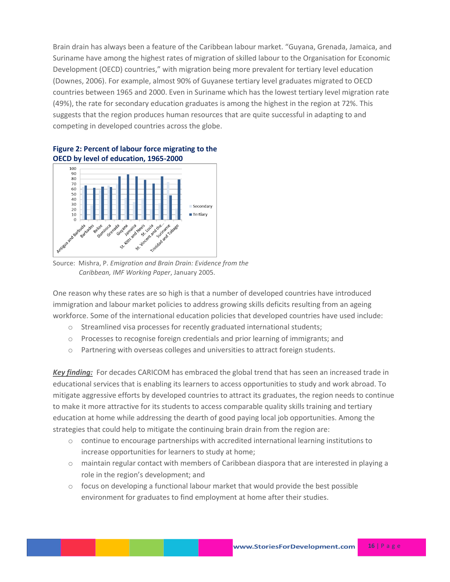Brain drain has always been a feature of the Caribbean labour market. "Guyana, Grenada, Jamaica, and Suriname have among the highest rates of migration of skilled labour to the Organisation for Economic Development (OECD) countries," with migration being more prevalent for tertiary level education (Downes, 2006). For example, almost 90% of Guyanese tertiary level graduates migrated to OECD countries between 1965 and 2000. Even in Suriname which has the lowest tertiary level migration rate (49%), the rate for secondary education graduates is among the highest in the region at 72%. This suggests that the region produces human resources that are quite successful in adapting to and competing in developed countries across the globe.



**Figure 2: Percent of labour force migrating to the OECD by level of education, 1965-2000** 

Source: Mishra, P. *Emigration and Brain Drain: Evidence from the Caribbean, IMF Working Paper*, January 2005.

One reason why these rates are so high is that a number of developed countries have introduced immigration and labour market policies to address growing skills deficits resulting from an ageing workforce. Some of the international education policies that developed countries have used include:

- o Streamlined visa processes for recently graduated international students;
- o Processes to recognise foreign credentials and prior learning of immigrants; and
- $\circ$  Partnering with overseas colleges and universities to attract foreign students.

**Key finding:** For decades CARICOM has embraced the global trend that has seen an increased trade in educational services that is enabling its learners to access opportunities to study and work abroad. To mitigate aggressive efforts by developed countries to attract its graduates, the region needs to continue to make it more attractive for its students to access comparable quality skills training and tertiary education at home while addressing the dearth of good paying local job opportunities. Among the strategies that could help to mitigate the continuing brain drain from the region are:

- o continue to encourage partnerships with accredited international learning institutions to increase opportunities for learners to study at home;
- o maintain regular contact with members of Caribbean diaspora that are interested in playing a role in the region's development; and
- $\circ$  focus on developing a functional labour market that would provide the best possible environment for graduates to find employment at home after their studies.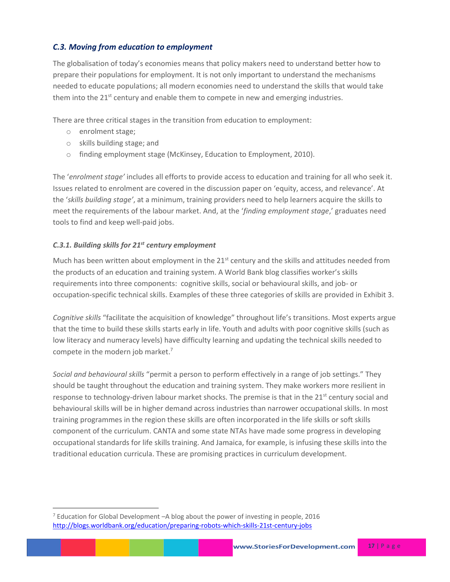## *C.3. Moving from education to employment*

The globalisation of today's economies means that policy makers need to understand better how to prepare their populations for employment. It is not only important to understand the mechanisms needed to educate populations; all modern economies need to understand the skills that would take them into the  $21<sup>st</sup>$  century and enable them to compete in new and emerging industries.

There are three critical stages in the transition from education to employment:

o enrolment stage;

 $\overline{\phantom{a}}$ 

- o skills building stage; and
- o finding employment stage (McKinsey, Education to Employment, 2010).

The '*enrolment stage'* includes all efforts to provide access to education and training for all who seek it. Issues related to enrolment are covered in the discussion paper on 'equity, access, and relevance'. At the '*skills building stage'*, at a minimum, training providers need to help learners acquire the skills to meet the requirements of the labour market. And, at the '*finding employment stage*,' graduates need tools to find and keep well-paid jobs.

## *C.3.1. Building skills for 21st century employment*

Much has been written about employment in the  $21<sup>st</sup>$  century and the skills and attitudes needed from the products of an education and training system. A World Bank blog classifies worker's skills requirements into three components: cognitive skills, social or behavioural skills, and job- or occupation-specific technical skills. Examples of these three categories of skills are provided in Exhibit 3.

*Cognitive skills* "facilitate the acquisition of knowledge" throughout life's transitions. Most experts argue that the time to build these skills starts early in life. Youth and adults with poor cognitive skills (such as low literacy and numeracy levels) have difficulty learning and updating the technical skills needed to compete in the modern job market.<sup>7</sup>

*Social and behavioural skills* "permit a person to perform effectively in a range of job settings." They should be taught throughout the education and training system. They make workers more resilient in response to technology-driven labour market shocks. The premise is that in the 21<sup>st</sup> century social and behavioural skills will be in higher demand across industries than narrower occupational skills. In most training programmes in the region these skills are often incorporated in the life skills or soft skills component of the curriculum. CANTA and some state NTAs have made some progress in developing occupational standards for life skills training. And Jamaica, for example, is infusing these skills into the traditional education curricula. These are promising practices in curriculum development.

 $7$  Education for Global Development -A blog about the power of investing in people, 2016 <http://blogs.worldbank.org/education/preparing-robots-which-skills-21st-century-jobs>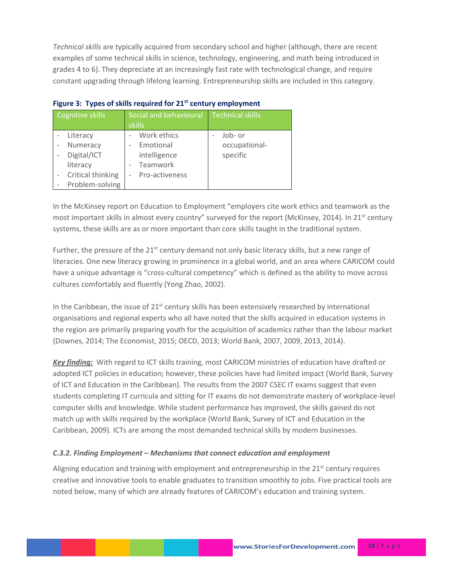*Technical skills* are typically acquired from secondary school and higher (although, there are recent examples of some technical skills in science, technology, engineering, and math being introduced in grades 4 to 6). They depreciate at an increasingly fast rate with technological change, and require constant upgrading through lifelong learning. Entrepreneurship skills are included in this category.

| Cognitive skills                                                                        | Social and behavioural<br>skills                                                                   | <b>Technical skills</b>              |  |  |  |
|-----------------------------------------------------------------------------------------|----------------------------------------------------------------------------------------------------|--------------------------------------|--|--|--|
| Literacy<br>Numeracy<br>Digital/ICT<br>literacy<br>Critical thinking<br>Problem-solving | Work ethics<br>Emotional<br>$\overline{\phantom{0}}$<br>intelligence<br>Teamwork<br>Pro-activeness | Job- or<br>occupational-<br>specific |  |  |  |

|  |  | Figure 3: Types of skills required for 21 <sup>st</sup> century employment |  |  |  |
|--|--|----------------------------------------------------------------------------|--|--|--|
|--|--|----------------------------------------------------------------------------|--|--|--|

In the McKinsey report on Education to Employment "employers cite work ethics and teamwork as the most important skills in almost every country" surveyed for the report (McKinsey, 2014). In 21<sup>st</sup> century systems, these skills are as or more important than core skills taught in the traditional system.

Further, the pressure of the  $21<sup>st</sup>$  century demand not only basic literacy skills, but a new range of literacies. One new literacy growing in prominence in a global world, and an area where CARICOM could have a unique advantage is "cross-cultural competency" which is defined as the ability to move across cultures comfortably and fluently (Yong Zhao, 2002).

In the Caribbean, the issue of 21<sup>st</sup> century skills has been extensively researched by international organisations and regional experts who all have noted that the skills acquired in education systems in the region are primarily preparing youth for the acquisition of academics rather than the labour market (Downes, 2014; The Economist, 2015; OECD, 2013; World Bank, 2007, 2009, 2013, 2014).

*Key finding:* With regard to ICT skills training, most CARICOM ministries of education have drafted or adopted ICT policies in education; however, these policies have had limited impact (World Bank, Survey of ICT and Education in the Caribbean). The results from the 2007 CSEC IT exams suggest that even students completing IT curricula and sitting for IT exams do not demonstrate mastery of workplace-level computer skills and knowledge. While student performance has improved, the skills gained do not match up with skills required by the workplace (World Bank, Survey of ICT and Education in the Caribbean, 2009). ICTs are among the most demanded technical skills by modern businesses.

### *C.3.2. Finding Employment – Mechanisms that connect education and employment*

Aligning education and training with employment and entrepreneurship in the 21<sup>st</sup> century requires creative and innovative tools to enable graduates to transition smoothly to jobs. Five practical tools are noted below, many of which are already features of CARICOM's education and training system.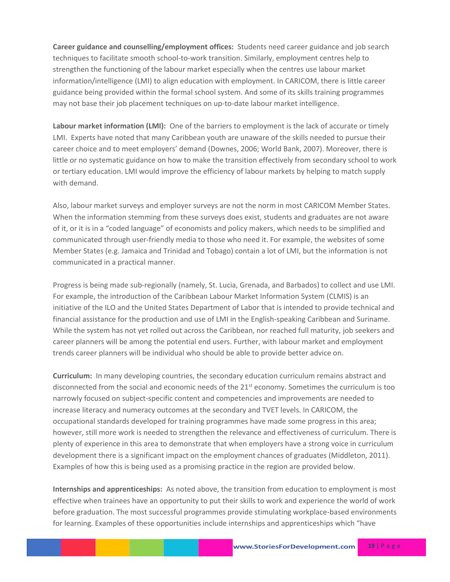**Career guidance and counselling/employment offices:** Students need career guidance and job search techniques to facilitate smooth school-to-work transition. Similarly, employment centres help to strengthen the functioning of the labour market especially when the centres use labour market information/intelligence (LMI) to align education with employment. In CARICOM, there is little career guidance being provided within the formal school system. And some of its skills training programmes may not base their job placement techniques on up-to-date labour market intelligence.

**Labour market information (LMI):** One of the barriers to employment is the lack of accurate or timely LMI. Experts have noted that many Caribbean youth are unaware of the skills needed to pursue their career choice and to meet employers' demand (Downes, 2006; World Bank, 2007). Moreover, there is little or no systematic guidance on how to make the transition effectively from secondary school to work or tertiary education. LMI would improve the efficiency of labour markets by helping to match supply with demand.

Also, labour market surveys and employer surveys are not the norm in most CARICOM Member States. When the information stemming from these surveys does exist, students and graduates are not aware of it, or it is in a "coded language" of economists and policy makers, which needs to be simplified and communicated through user-friendly media to those who need it. For example, the websites of some Member States (e.g. Jamaica and Trinidad and Tobago) contain a lot of LMI, but the information is not communicated in a practical manner.

Progress is being made sub-regionally (namely, St. Lucia, Grenada, and Barbados) to collect and use LMI. For example, the introduction of the Caribbean Labour Market Information System (CLMIS) is an initiative of the ILO and the United States Department of Labor that is intended to provide technical and financial assistance for the production and use of LMI in the English-speaking Caribbean and Suriname. While the system has not yet rolled out across the Caribbean, nor reached full maturity, job seekers and career planners will be among the potential end users. Further, with labour market and employment trends career planners will be individual who should be able to provide better advice on.

**Curriculum:** In many developing countries, the secondary education curriculum remains abstract and disconnected from the social and economic needs of the  $21<sup>st</sup>$  economy. Sometimes the curriculum is too narrowly focused on subject-specific content and competencies and improvements are needed to increase literacy and numeracy outcomes at the secondary and TVET levels. In CARICOM, the occupational standards developed for training programmes have made some progress in this area; however, still more work is needed to strengthen the relevance and effectiveness of curriculum. There is plenty of experience in this area to demonstrate that when employers have a strong voice in curriculum development there is a significant impact on the employment chances of graduates (Middleton, 2011). Examples of how this is being used as a promising practice in the region are provided below.

**Internships and apprenticeships:** As noted above, the transition from education to employment is most effective when trainees have an opportunity to put their skills to work and experience the world of work before graduation. The most successful programmes provide stimulating workplace-based environments for learning. Examples of these opportunities include internships and apprenticeships which "have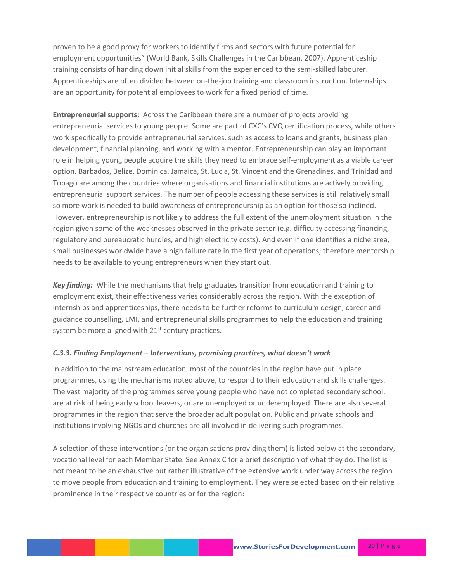proven to be a good proxy for workers to identify firms and sectors with future potential for employment opportunities" (World Bank, Skills Challenges in the Caribbean, 2007). Apprenticeship training consists of handing down initial skills from the experienced to the semi-skilled labourer. Apprenticeships are often divided between on-the-job training and classroom instruction. Internships are an opportunity for potential employees to work for a fixed period of time.

**Entrepreneurial supports:** Across the Caribbean there are a number of projects providing entrepreneurial services to young people. Some are part of CXC's CVQ certification process, while others work specifically to provide entrepreneurial services, such as access to loans and grants, business plan development, financial planning, and working with a mentor. Entrepreneurship can play an important role in helping young people acquire the skills they need to embrace self-employment as a viable career option. Barbados, Belize, Dominica, Jamaica, St. Lucia, St. Vincent and the Grenadines, and Trinidad and Tobago are among the countries where organisations and financial institutions are actively providing entrepreneurial support services. The number of people accessing these services is still relatively small so more work is needed to build awareness of entrepreneurship as an option for those so inclined. However, entrepreneurship is not likely to address the full extent of the unemployment situation in the region given some of the weaknesses observed in the private sector (e.g. difficulty accessing financing, regulatory and bureaucratic hurdles, and high electricity costs). And even if one identifies a niche area, small businesses worldwide have a high failure rate in the first year of operations; therefore mentorship needs to be available to young entrepreneurs when they start out.

*Key finding:* While the mechanisms that help graduates transition from education and training to employment exist, their effectiveness varies considerably across the region. With the exception of internships and apprenticeships, there needs to be further reforms to curriculum design, career and guidance counselling, LMI, and entrepreneurial skills programmes to help the education and training system be more aligned with  $21<sup>st</sup>$  century practices.

### *C.3.3. Finding Employment – Interventions, promising practices, what doesn't work*

In addition to the mainstream education, most of the countries in the region have put in place programmes, using the mechanisms noted above, to respond to their education and skills challenges. The vast majority of the programmes serve young people who have not completed secondary school, are at risk of being early school leavers, or are unemployed or underemployed. There are also several programmes in the region that serve the broader adult population. Public and private schools and institutions involving NGOs and churches are all involved in delivering such programmes.

A selection of these interventions (or the organisations providing them) is listed below at the secondary, vocational level for each Member State. See Annex C for a brief description of what they do. The list is not meant to be an exhaustive but rather illustrative of the extensive work under way across the region to move people from education and training to employment. They were selected based on their relative prominence in their respective countries or for the region: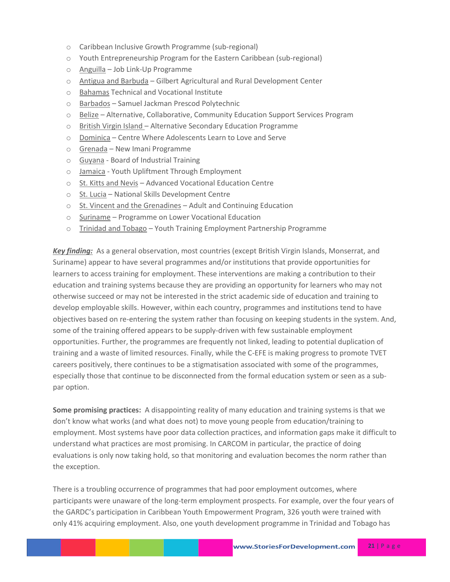- o Caribbean Inclusive Growth Programme (sub-regional)
- o Youth Entrepreneurship Program for the Eastern Caribbean (sub-regional)
- o Anguilla Job Link-Up Programme
- o Antigua and Barbuda Gilbert Agricultural and Rural Development Center
- o Bahamas Technical and Vocational Institute
- o Barbados Samuel Jackman Prescod Polytechnic
- o Belize Alternative, Collaborative, Community Education Support Services Program
- o British Virgin Island Alternative Secondary Education Programme
- o Dominica Centre Where Adolescents Learn to Love and Serve
- o Grenada New Imani Programme
- o Guyana Board of Industrial Training
- o Jamaica Youth Upliftment Through Employment
- o St. Kitts and Nevis Advanced Vocational Education Centre
- o St. Lucia National Skills Development Centre
- o St. Vincent and the Grenadines Adult and Continuing Education
- o Suriname Programme on Lower Vocational Education
- $\circ$  Trinidad and Tobago Youth Training Employment Partnership Programme

*Key finding:* As a general observation, most countries (except British Virgin Islands, Monserrat, and Suriname) appear to have several programmes and/or institutions that provide opportunities for learners to access training for employment. These interventions are making a contribution to their education and training systems because they are providing an opportunity for learners who may not otherwise succeed or may not be interested in the strict academic side of education and training to develop employable skills. However, within each country, programmes and institutions tend to have objectives based on re-entering the system rather than focusing on keeping students in the system. And, some of the training offered appears to be supply-driven with few sustainable employment opportunities. Further, the programmes are frequently not linked, leading to potential duplication of training and a waste of limited resources. Finally, while the C-EFE is making progress to promote TVET careers positively, there continues to be a stigmatisation associated with some of the programmes, especially those that continue to be disconnected from the formal education system or seen as a subpar option.

**Some promising practices:**A disappointing reality of many education and training systems is that we don't know what works (and what does not) to move young people from education/training to employment. Most systems have poor data collection practices, and information gaps make it difficult to understand what practices are most promising. In CARCOM in particular, the practice of doing evaluations is only now taking hold, so that monitoring and evaluation becomes the norm rather than the exception.

There is a troubling occurrence of programmes that had poor employment outcomes, where participants were unaware of the long-term employment prospects. For example, over the four years of the GARDC's participation in Caribbean Youth Empowerment Program, 326 youth were trained with only 41% acquiring employment. Also, one youth development programme in Trinidad and Tobago has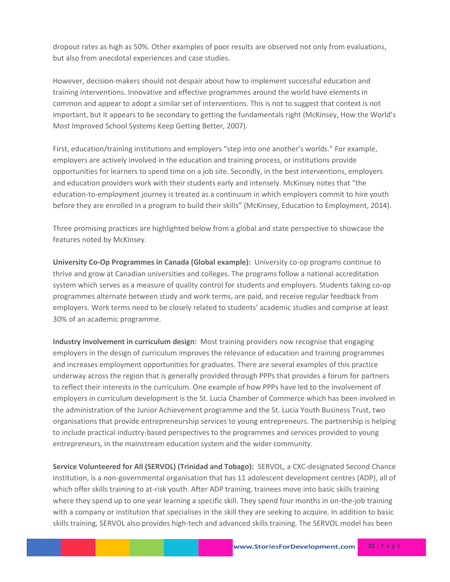dropout rates as high as 50%. Other examples of poor results are observed not only from evaluations, but also from anecdotal experiences and case studies.

However, decision-makers should not despair about how to implement successful education and training interventions. Innovative and effective programmes around the world have elements in common and appear to adopt a similar set of interventions. This is not to suggest that context is not important, but it appears to be secondary to getting the fundamentals right (McKinsey, How the World's Most Improved School Systems Keep Getting Better, 2007).

First, education/training institutions and employers "step into one another's worlds." For example, employers are actively involved in the education and training process, or institutions provide opportunities for learners to spend time on a job site. Secondly, in the best interventions, employers and education providers work with their students early and intensely. McKinsey notes that "the education-to-employment journey is treated as a continuum in which employers commit to hire youth before they are enrolled in a program to build their skills" (McKinsey, Education to Employment, 2014).

Three promising practices are highlighted below from a global and state perspective to showcase the features noted by McKinsey.

**University Co-Op Programmes in Canada (Global example):** University co-op programs continue to thrive and grow at Canadian universities and colleges. The programs follow a national accreditation system which serves as a measure of quality control for students and employers. Students taking co-op programmes alternate between study and work terms, are paid, and receive regular feedback from employers. Work terms need to be closely related to students' academic studies and comprise at least 30% of an academic programme.

**Industry involvement in curriculum design:** Most training providers now recognise that engaging employers in the design of curriculum improves the relevance of education and training programmes and increases employment opportunities for graduates. There are several examples of this practice underway across the region that is generally provided through PPPs that provides a forum for partners to reflect their interests in the curriculum. One example of how PPPs have led to the involvement of employers in curriculum development is the St. Lucia Chamber of Commerce which has been involved in the administration of the Junior Achievement programme and the St. Lucia Youth Business Trust, two organisations that provide entrepreneurship services to young entrepreneurs. The partnership is helping to include practical industry-based perspectives to the programmes and services provided to young entrepreneurs, in the mainstream education system and the wider community.

**Service Volunteered for All (SERVOL) (Trinidad and Tobago):** SERVOL, a CXC-designated Second Chance Institution, is a non-governmental organisation that has 11 adolescent development centres (ADP), all of which offer skills training to at-risk youth. After ADP training, trainees move into basic skills training where they spend up to one year learning a specific skill. They spend four months in on-the-job training with a company or institution that specialises in the skill they are seeking to acquire. In addition to basic skills training, SERVOL also provides high-tech and advanced skills training. The SERVOL model has been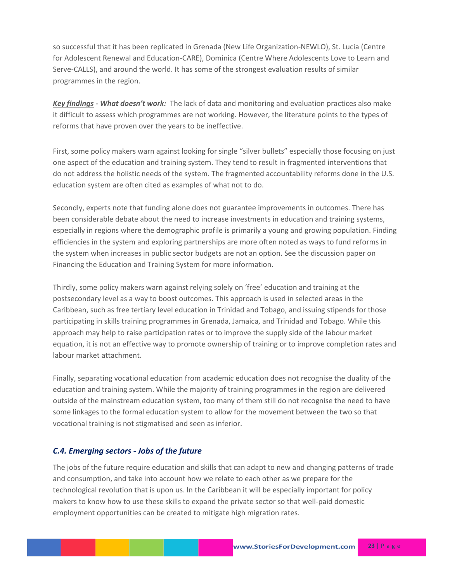so successful that it has been replicated in Grenada (New Life Organization-NEWLO), St. Lucia (Centre for Adolescent Renewal and Education-CARE), Dominica (Centre Where Adolescents Love to Learn and Serve-CALLS), and around the world. It has some of the strongest evaluation results of similar programmes in the region.

*Key findings - What doesn't work:* The lack of data and monitoring and evaluation practices also make it difficult to assess which programmes are not working. However, the literature points to the types of reforms that have proven over the years to be ineffective.

First, some policy makers warn against looking for single "silver bullets" especially those focusing on just one aspect of the education and training system. They tend to result in fragmented interventions that do not address the holistic needs of the system. The fragmented accountability reforms done in the U.S. education system are often cited as examples of what not to do.

Secondly, experts note that funding alone does not guarantee improvements in outcomes. There has been considerable debate about the need to increase investments in education and training systems, especially in regions where the demographic profile is primarily a young and growing population. Finding efficiencies in the system and exploring partnerships are more often noted as ways to fund reforms in the system when increases in public sector budgets are not an option. See the discussion paper on Financing the Education and Training System for more information.

Thirdly, some policy makers warn against relying solely on 'free' education and training at the postsecondary level as a way to boost outcomes. This approach is used in selected areas in the Caribbean, such as free tertiary level education in Trinidad and Tobago, and issuing stipends for those participating in skills training programmes in Grenada, Jamaica, and Trinidad and Tobago. While this approach may help to raise participation rates or to improve the supply side of the labour market equation, it is not an effective way to promote ownership of training or to improve completion rates and labour market attachment.

Finally, separating vocational education from academic education does not recognise the duality of the education and training system. While the majority of training programmes in the region are delivered outside of the mainstream education system, too many of them still do not recognise the need to have some linkages to the formal education system to allow for the movement between the two so that vocational training is not stigmatised and seen as inferior.

## *C.4. Emerging sectors - Jobs of the future*

The jobs of the future require education and skills that can adapt to new and changing patterns of trade and consumption, and take into account how we relate to each other as we prepare for the technological revolution that is upon us. In the Caribbean it will be especially important for policy makers to know how to use these skills to expand the private sector so that well-paid domestic employment opportunities can be created to mitigate high migration rates.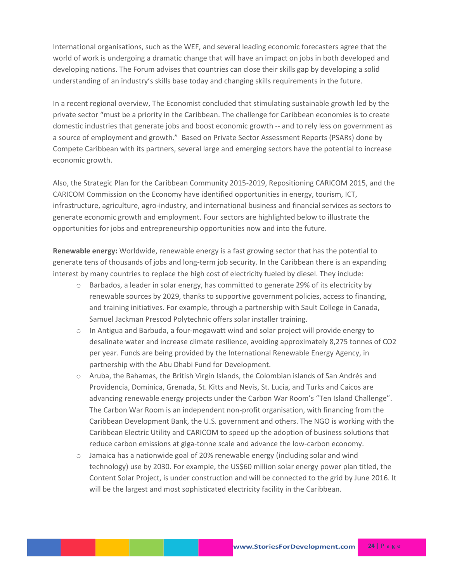International organisations, such as the WEF, and several leading economic forecasters agree that the world of work is undergoing a dramatic change that will have an impact on jobs in both developed and developing nations. The Forum advises that countries can close their skills gap by developing a solid understanding of an industry's skills base today and changing skills requirements in the future.

In a recent regional overview, The Economist concluded that stimulating sustainable growth led by the private sector "must be a priority in the Caribbean. The challenge for Caribbean economies is to create domestic industries that generate jobs and boost economic growth -- and to rely less on government as a source of employment and growth." Based on Private Sector Assessment Reports (PSARs) done by Compete Caribbean with its partners, several large and emerging sectors have the potential to increase economic growth.

Also, the Strategic Plan for the Caribbean Community 2015-2019, Repositioning CARICOM 2015, and the CARICOM Commission on the Economy have identified opportunities in energy, tourism, ICT, infrastructure, agriculture, agro-industry, and international business and financial services as sectors to generate economic growth and employment. Four sectors are highlighted below to illustrate the opportunities for jobs and entrepreneurship opportunities now and into the future.

**Renewable energy:** Worldwide, renewable energy is a fast growing sector that has the potential to generate tens of thousands of jobs and long-term job security. In the Caribbean there is an expanding interest by many countries to replace the high cost of electricity fueled by diesel. They include:

- o Barbados, a leader in solar energy, has committed to generate 29% of its electricity by renewable sources by 2029, thanks to supportive government policies, access to financing, and training initiatives. For example, through a partnership with Sault College in Canada, Samuel Jackman Prescod Polytechnic offers solar installer training.
- $\circ$  In Antigua and Barbuda, a four-megawatt wind and solar project will provide energy to desalinate water and increase climate resilience, avoiding approximately 8,275 tonnes of CO2 per year. Funds are being provided by the International Renewable Energy Agency, in partnership with the Abu Dhabi Fund for Development.
- o Aruba, the Bahamas, the British Virgin Islands, the Colombian islands of San Andrés and Providencia, Dominica, Grenada, St. Kitts and Nevis, St. Lucia, and Turks and Caicos are advancing renewable energy projects under the Carbon War Room's "Ten Island Challenge". The Carbon War Room is an independent non-profit organisation, with financing from the Caribbean Development Bank, the U.S. government and others. The NGO is working with the Caribbean Electric Utility and CARICOM to speed up the adoption of business solutions that reduce carbon emissions at giga-tonne scale and advance the low-carbon economy.
- $\circ$  Jamaica has a nationwide goal of 20% renewable energy (including solar and wind technology) use by 2030. For example, the US\$60 million solar energy power plan titled, the Content Solar Project, is under construction and will be connected to the grid by June 2016. It will be the largest and most sophisticated electricity facility in the Caribbean.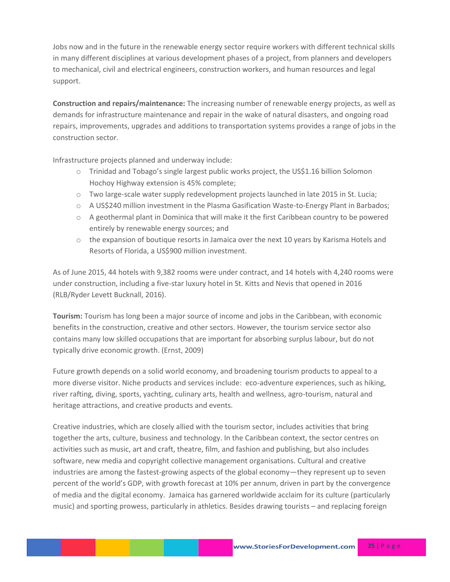Jobs now and in the future in the renewable energy sector require workers with different technical skills in many different disciplines at various development phases of a project, from planners and developers to mechanical, civil and electrical engineers, construction workers, and human resources and legal support.

**Construction and repairs/maintenance:** The increasing number of renewable energy projects, as well as demands for infrastructure maintenance and repair in the wake of natural disasters, and ongoing road repairs, improvements, upgrades and additions to transportation systems provides a range of jobs in the construction sector.

Infrastructure projects planned and underway include:

- $\circ$  Trinidad and Tobago's single largest public works project, the US\$1.16 billion Solomon Hochoy Highway extension is 45% complete;
- o Two large-scale water supply redevelopment projects launched in late 2015 in St. Lucia;
- $\circ$  A US\$240 million investment in the Plasma Gasification Waste-to-Energy Plant in Barbados;
- $\circ$  A geothermal plant in Dominica that will make it the first Caribbean country to be powered entirely by renewable energy sources; and
- $\circ$  the expansion of boutique resorts in Jamaica over the next 10 years by Karisma Hotels and Resorts of Florida, a US\$900 million investment.

As of June 2015, 44 hotels with 9,382 rooms were under contract, and 14 hotels with 4,240 rooms were under construction, including a five-star luxury hotel in St. Kitts and Nevis that opened in 2016 (RLB/Ryder Levett Bucknall, 2016).

**Tourism:** Tourism has long been a major source of income and jobs in the Caribbean, with economic benefits in the construction, creative and other sectors. However, the tourism service sector also contains many low skilled occupations that are important for absorbing surplus labour, but do not typically drive economic growth. (Ernst, 2009)

Future growth depends on a solid world economy, and broadening tourism products to appeal to a more diverse visitor. Niche products and services include: eco-adventure experiences, such as hiking, river rafting, diving, sports, yachting, culinary arts, health and wellness, agro-tourism, natural and heritage attractions, and creative products and events.

Creative industries, which are closely allied with the tourism sector, includes activities that bring together the arts, culture, business and technology. In the Caribbean context, the sector centres on activities such as music, art and craft, theatre, film, and fashion and publishing, but also includes software, new media and copyright collective management organisations. Cultural and creative industries are among the fastest-growing aspects of the global economy—they represent up to seven percent of the world's GDP, with growth forecast at 10% per annum, driven in part by the convergence of media and the digital economy. Jamaica has garnered worldwide acclaim for its culture (particularly music) and sporting prowess, particularly in athletics. Besides drawing tourists – and replacing foreign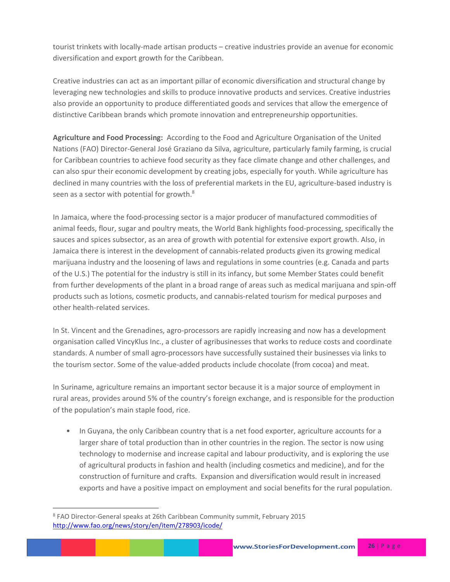tourist trinkets with locally-made artisan products – creative industries provide an avenue for economic diversification and export growth for the Caribbean.

Creative industries can act as an important pillar of economic diversification and structural change by leveraging new technologies and skills to produce innovative products and services. Creative industries also provide an opportunity to produce differentiated goods and services that allow the emergence of distinctive Caribbean brands which promote innovation and entrepreneurship opportunities.

**Agriculture and Food Processing:** According to the Food and Agriculture Organisation of the United Nations (FAO) Director-General José Graziano da Silva, agriculture, particularly family farming, is crucial for Caribbean countries to achieve food security as they face climate change and other challenges, and can also spur their economic development by creating jobs, especially for youth. While agriculture has declined in many countries with the loss of preferential markets in the EU, agriculture-based industry is seen as a sector with potential for growth.<sup>8</sup>

In Jamaica, where the food-processing sector is a major producer of manufactured commodities of animal feeds, flour, sugar and poultry meats, the World Bank highlights food-processing, specifically the sauces and spices subsector, as an area of growth with potential for extensive export growth. Also, in Jamaica there is interest in the development of cannabis-related products given its growing medical marijuana industry and the loosening of laws and regulations in some countries (e.g. Canada and parts of the U.S.) The potential for the industry is still in its infancy, but some Member States could benefit from further developments of the plant in a broad range of areas such as medical marijuana and spin-off products such as lotions, cosmetic products, and cannabis-related tourism for medical purposes and other health-related services.

In St. Vincent and the Grenadines, agro-processors are rapidly increasing and now has a development organisation called VincyKlus Inc., a cluster of agribusinesses that works to reduce costs and coordinate standards. A number of small agro-processors have successfully sustained their businesses via links to the tourism sector. Some of the value-added products include chocolate (from cocoa) and meat.

In Suriname, agriculture remains an important sector because it is a major source of employment in rural areas, provides around 5% of the country's foreign exchange, and is responsible for the production of the population's main staple food, rice.

• In Guyana, the only Caribbean country that is a net food exporter, agriculture accounts for a larger share of total production than in other countries in the region. The sector is now using technology to modernise and increase capital and labour productivity, and is exploring the use of agricultural products in fashion and health (including cosmetics and medicine), and for the construction of furniture and crafts. Expansion and diversification would result in increased exports and have a positive impact on employment and social benefits for the rural population.

 $\overline{\phantom{a}}$ 

<sup>8</sup> FAO Director-General speaks at 26th Caribbean Community summit, February 2015 <http://www.fao.org/news/story/en/item/278903/icode/>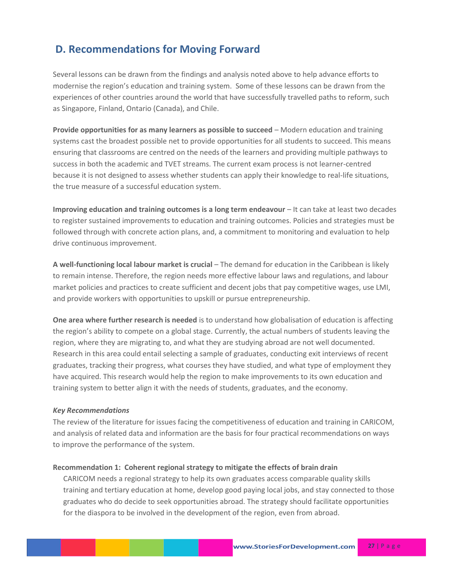## **D. Recommendations for Moving Forward**

Several lessons can be drawn from the findings and analysis noted above to help advance efforts to modernise the region's education and training system. Some of these lessons can be drawn from the experiences of other countries around the world that have successfully travelled paths to reform, such as Singapore, Finland, Ontario (Canada), and Chile.

**Provide opportunities for as many learners as possible to succeed** – Modern education and training systems cast the broadest possible net to provide opportunities for all students to succeed. This means ensuring that classrooms are centred on the needs of the learners and providing multiple pathways to success in both the academic and TVET streams. The current exam process is not learner-centred because it is not designed to assess whether students can apply their knowledge to real-life situations, the true measure of a successful education system.

**Improving education and training outcomes is a long term endeavour** – It can take at least two decades to register sustained improvements to education and training outcomes. Policies and strategies must be followed through with concrete action plans, and, a commitment to monitoring and evaluation to help drive continuous improvement.

**A well-functioning local labour market is crucial** – The demand for education in the Caribbean is likely to remain intense. Therefore, the region needs more effective labour laws and regulations, and labour market policies and practices to create sufficient and decent jobs that pay competitive wages, use LMI, and provide workers with opportunities to upskill or pursue entrepreneurship.

**One area where further research is needed** is to understand how globalisation of education is affecting the region's ability to compete on a global stage. Currently, the actual numbers of students leaving the region, where they are migrating to, and what they are studying abroad are not well documented. Research in this area could entail selecting a sample of graduates, conducting exit interviews of recent graduates, tracking their progress, what courses they have studied, and what type of employment they have acquired. This research would help the region to make improvements to its own education and training system to better align it with the needs of students, graduates, and the economy.

#### *Key Recommendations*

The review of the literature for issues facing the competitiveness of education and training in CARICOM, and analysis of related data and information are the basis for four practical recommendations on ways to improve the performance of the system.

#### **Recommendation 1: Coherent regional strategy to mitigate the effects of brain drain**

CARICOM needs a regional strategy to help its own graduates access comparable quality skills training and tertiary education at home, develop good paying local jobs, and stay connected to those graduates who do decide to seek opportunities abroad. The strategy should facilitate opportunities for the diaspora to be involved in the development of the region, even from abroad.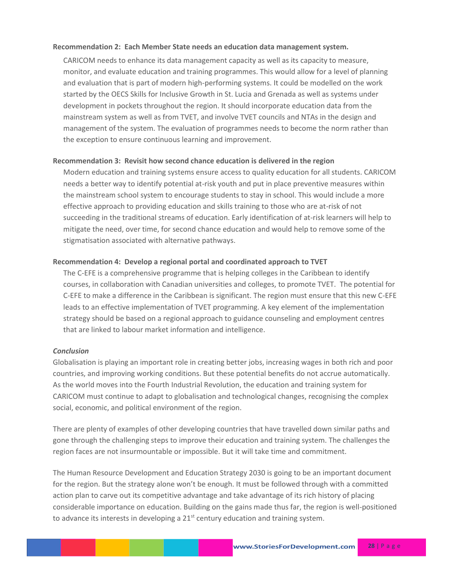#### **Recommendation 2: Each Member State needs an education data management system.**

CARICOM needs to enhance its data management capacity as well as its capacity to measure, monitor, and evaluate education and training programmes. This would allow for a level of planning and evaluation that is part of modern high-performing systems. It could be modelled on the work started by the OECS Skills for Inclusive Growth in St. Lucia and Grenada as well as systems under development in pockets throughout the region. It should incorporate education data from the mainstream system as well as from TVET, and involve TVET councils and NTAs in the design and management of the system. The evaluation of programmes needs to become the norm rather than the exception to ensure continuous learning and improvement.

#### **Recommendation 3: Revisit how second chance education is delivered in the region**

Modern education and training systems ensure access to quality education for all students. CARICOM needs a better way to identify potential at-risk youth and put in place preventive measures within the mainstream school system to encourage students to stay in school. This would include a more effective approach to providing education and skills training to those who are at-risk of not succeeding in the traditional streams of education. Early identification of at-risk learners will help to mitigate the need, over time, for second chance education and would help to remove some of the stigmatisation associated with alternative pathways.

#### **Recommendation 4: Develop a regional portal and coordinated approach to TVET**

The C-EFE is a comprehensive programme that is helping colleges in the Caribbean to identify courses, in collaboration with Canadian universities and colleges, to promote TVET. The potential for C-EFE to make a difference in the Caribbean is significant. The region must ensure that this new C-EFE leads to an effective implementation of TVET programming. A key element of the implementation strategy should be based on a regional approach to guidance counseling and employment centres that are linked to labour market information and intelligence.

#### *Conclusion*

Globalisation is playing an important role in creating better jobs, increasing wages in both rich and poor countries, and improving working conditions. But these potential benefits do not accrue automatically. As the world moves into the Fourth Industrial Revolution, the education and training system for CARICOM must continue to adapt to globalisation and technological changes, recognising the complex social, economic, and political environment of the region.

There are plenty of examples of other developing countries that have travelled down similar paths and gone through the challenging steps to improve their education and training system. The challenges the region faces are not insurmountable or impossible. But it will take time and commitment.

The Human Resource Development and Education Strategy 2030 is going to be an important document for the region. But the strategy alone won't be enough. It must be followed through with a committed action plan to carve out its competitive advantage and take advantage of its rich history of placing considerable importance on education. Building on the gains made thus far, the region is well-positioned to advance its interests in developing a  $21<sup>st</sup>$  century education and training system.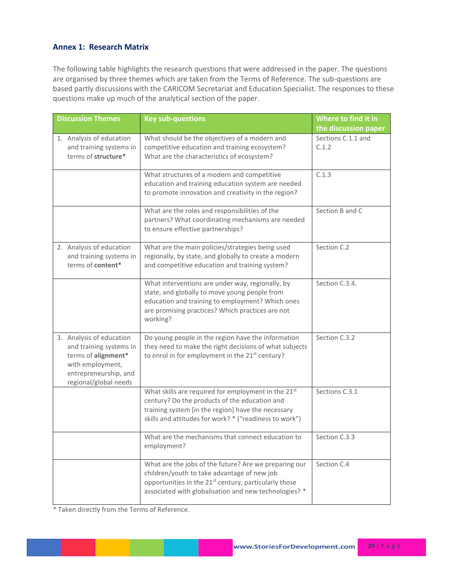### **Annex 1: Research Matrix**

The following table highlights the research questions that were addressed in the paper. The questions are organised by three themes which are taken from the Terms of Reference. The sub-questions are based partly discussions with the CARICOM Secretariat and Education Specialist. The responses to these questions make up much of the analytical section of the paper.

| <b>Discussion Themes</b>                                                                                                                         | <b>Key sub-questions</b>                                                                                                                                                                                                           | Where to find it in         |
|--------------------------------------------------------------------------------------------------------------------------------------------------|------------------------------------------------------------------------------------------------------------------------------------------------------------------------------------------------------------------------------------|-----------------------------|
|                                                                                                                                                  |                                                                                                                                                                                                                                    | the discussion paper        |
| 1. Analysis of education<br>and training systems in<br>terms of structure*                                                                       | What should be the objectives of a modern and<br>competitive education and training ecosystem?<br>What are the characteristics of ecosystem?                                                                                       | Sections C.1.1 and<br>C.1.2 |
|                                                                                                                                                  | What structures of a modern and competitive<br>education and training education system are needed<br>to promote innovation and creativity in the region?                                                                           | C.1.3                       |
|                                                                                                                                                  | What are the roles and responsibilities of the<br>partners? What coordinating mechanisms are needed<br>to ensure effective partnerships?                                                                                           | Section B and C             |
| 2. Analysis of education<br>and training systems in<br>terms of content*                                                                         | What are the main policies/strategies being used<br>regionally, by state, and globally to create a modern<br>and competitive education and training system?                                                                        | Section C.2                 |
|                                                                                                                                                  | What interventions are under way, regionally, by<br>state, and globally to move young people from<br>education and training to employment? Which ones<br>are promising practices? Which practices are not<br>working?              | Section C.3.4.              |
| 3. Analysis of education<br>and training systems in<br>terms of alignment*<br>with employment,<br>entrepreneurship, and<br>regional/global needs | Do young people in the region have the information<br>they need to make the right decisions of what subjects<br>to enrol in for employment in the 21 <sup>st</sup> century?                                                        | Section C.3.2               |
|                                                                                                                                                  | What skills are required for employment in the 21st<br>century? Do the products of the education and<br>training system [in the region] have the necessary<br>skills and attitudes for work? * ("readiness to work")               | Sections C.3.1              |
|                                                                                                                                                  | What are the mechanisms that connect education to<br>employment?                                                                                                                                                                   | Section C.3.3               |
|                                                                                                                                                  | What are the jobs of the future? Are we preparing our<br>children/youth to take advantage of new job<br>opportunities in the 21 <sup>st</sup> century, particularly those<br>associated with globalisation and new technologies? * | Section C.4                 |

\* Taken directly from the Terms of Reference.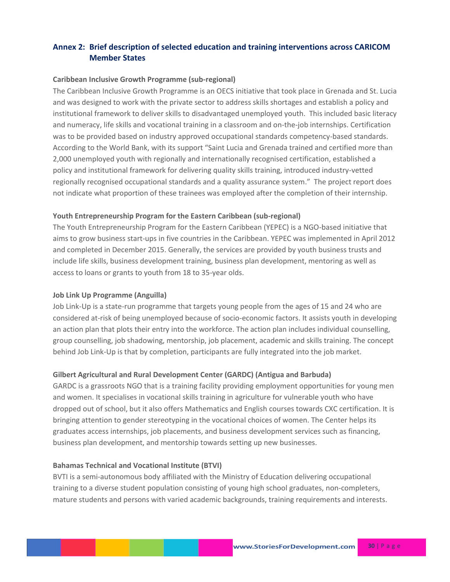## **Annex 2: Brief description of selected education and training interventions across CARICOM Member States**

#### **Caribbean Inclusive Growth Programme (sub-regional)**

The Caribbean Inclusive Growth Programme is an OECS initiative that took place in Grenada and St. Lucia and was designed to work with the private sector to address skills shortages and establish a policy and institutional framework to deliver skills to disadvantaged unemployed youth. This included basic literacy and numeracy, life skills and vocational training in a classroom and on-the-job internships. Certification was to be provided based on industry approved occupational standards competency-based standards. According to the World Bank, with its support "Saint Lucia and Grenada trained and certified more than 2,000 unemployed youth with regionally and internationally recognised certification, established a policy and institutional framework for delivering quality skills training, introduced industry-vetted regionally recognised occupational standards and a quality assurance system." The project report does not indicate what proportion of these trainees was employed after the completion of their internship.

#### **Youth Entrepreneurship Program for the Eastern Caribbean (sub-regional)**

The Youth Entrepreneurship Program for the Eastern Caribbean (YEPEC) is a NGO-based initiative that aims to grow business start-ups in five countries in the Caribbean. YEPEC was implemented in April 2012 and completed in December 2015. Generally, the services are provided by youth business trusts and include life skills, business development training, business plan development, mentoring as well as access to loans or grants to youth from 18 to 35-year olds.

#### **Job Link Up Programme (Anguilla)**

Job Link-Up is a state-run programme that targets young people from the ages of 15 and 24 who are considered at-risk of being unemployed because of socio-economic factors. It assists youth in developing an action plan that plots their entry into the workforce. The action plan includes individual counselling, group counselling, job shadowing, mentorship, job placement, academic and skills training. The concept behind Job Link-Up is that by completion, participants are fully integrated into the job market.

#### **Gilbert Agricultural and Rural Development Center (GARDC) (Antigua and Barbuda)**

GARDC is a grassroots NGO that is a training facility providing employment opportunities for young men and women. It specialises in vocational skills training in agriculture for vulnerable youth who have dropped out of school, but it also offers Mathematics and English courses towards CXC certification. It is bringing attention to gender stereotyping in the vocational choices of women. The Center helps its graduates access internships, job placements, and business development services such as financing, business plan development, and mentorship towards setting up new businesses.

#### **Bahamas Technical and Vocational Institute (BTVI)**

BVTI is a semi-autonomous body affiliated with the Ministry of Education delivering occupational training to a diverse student population consisting of young high school graduates, non-completers, mature students and persons with varied academic backgrounds, training requirements and interests.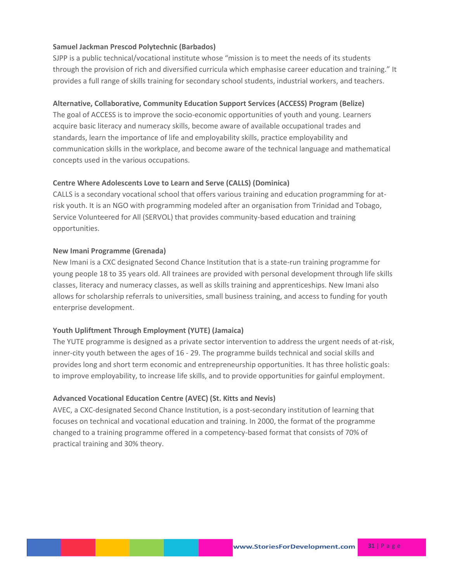### **Samuel Jackman Prescod Polytechnic (Barbados)**

SJPP is a public technical/vocational institute whose "mission is to meet the needs of its students through the provision of rich and diversified curricula which emphasise career education and training." It provides a full range of skills training for secondary school students, industrial workers, and teachers.

#### **Alternative, Collaborative, Community Education Support Services (ACCESS) Program (Belize)**

The goal of ACCESS is to improve the socio-economic opportunities of youth and young. Learners acquire basic literacy and numeracy skills, become aware of available occupational trades and standards, learn the importance of life and employability skills, practice employability and communication skills in the workplace, and become aware of the technical language and mathematical concepts used in the various occupations.

#### **Centre Where Adolescents Love to Learn and Serve (CALLS) (Dominica)**

CALLS is a secondary vocational school that offers various training and education programming for atrisk youth. It is an NGO with programming modeled after an organisation from Trinidad and Tobago, Service Volunteered for All (SERVOL) that provides community-based education and training opportunities.

#### **New Imani Programme (Grenada)**

New Imani is a CXC designated Second Chance Institution that is a state-run training programme for young people 18 to 35 years old. All trainees are provided with personal development through life skills classes, literacy and numeracy classes, as well as skills training and apprenticeships. New Imani also allows for scholarship referrals to universities, small business training, and access to funding for youth enterprise development.

#### **Youth Upliftment Through Employment (YUTE) (Jamaica)**

The YUTE programme is designed as a private sector intervention to address the urgent needs of at-risk, inner-city youth between the ages of 16 - 29. The programme builds technical and social skills and provides long and short term economic and entrepreneurship opportunities. It has three holistic goals: to improve employability, to increase life skills, and to provide opportunities for gainful employment.

#### **Advanced Vocational Education Centre (AVEC) (St. Kitts and Nevis)**

AVEC, a CXC-designated Second Chance Institution, is a post-secondary institution of learning that focuses on technical and vocational education and training. In 2000, the format of the programme changed to a training programme offered in a competency-based format that consists of 70% of practical training and 30% theory.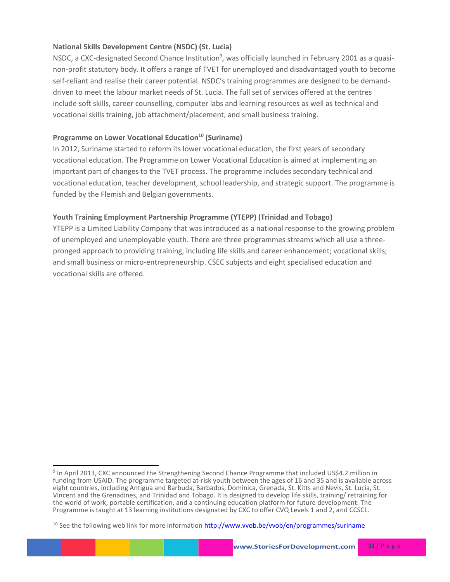## **National Skills Development Centre (NSDC) (St. Lucia)**

NSDC, a CXC-designated Second Chance Institution<sup>9</sup>, was officially launched in February 2001 as a quasinon-profit statutory body. It offers a range of TVET for unemployed and disadvantaged youth to become self-reliant and realise their career potential. NSDC's training programmes are designed to be demanddriven to meet the labour market needs of St. Lucia. The full set of services offered at the centres include soft skills, career counselling, computer labs and learning resources as well as technical and vocational skills training, job attachment/placement, and small business training.

### **Programme on Lower Vocational Education<sup>10</sup> (Suriname)**

l

In 2012, Suriname started to reform its lower vocational education, the first years of secondary vocational education. The Programme on Lower Vocational Education is aimed at implementing an important part of changes to the TVET process. The programme includes secondary technical and vocational education, teacher development, school leadership, and strategic support. The programme is funded by the Flemish and Belgian governments.

## **Youth Training Employment Partnership Programme (YTEPP) (Trinidad and Tobago)**

YTEPP is a Limited Liability Company that was introduced as a national response to the growing problem of unemployed and unemployable youth. There are three programmes streams which all use a threepronged approach to providing training, including life skills and career enhancement; vocational skills; and small business or micro-entrepreneurship. CSEC subjects and eight specialised education and vocational skills are offered.

<sup>&</sup>lt;sup>9</sup> In April 2013, CXC announced the Strengthening Second Chance Programme that included US\$4.2 million in funding from USAID. The programme targeted at-risk youth between the ages of 16 and 35 and is available across eight countries, including Antigua and Barbuda, Barbados, Dominica, Grenada, St. Kitts and Nevis, St. Lucia, St. Vincent and the Grenadines, and Trinidad and Tobago. It is designed to develop life skills, training/ retraining for the world of work, portable certification, and a continuing education platform for future development. The Programme is taught at 13 learning institutions designated by CXC to offer CVQ Levels 1 and 2, and CCSCL.

<sup>&</sup>lt;sup>10</sup> See the following web link for more information<http://www.vvob.be/vvob/en/programmes/suriname>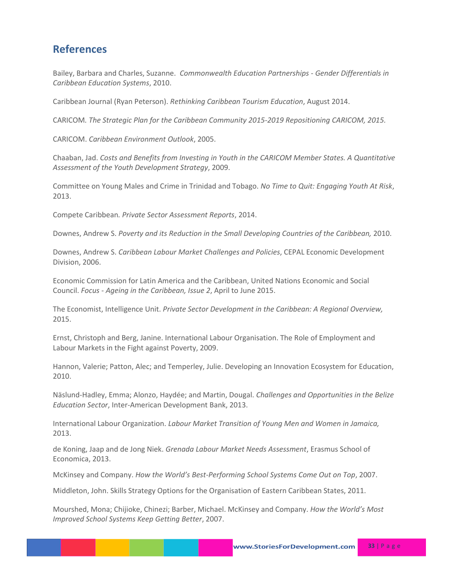## **References**

Bailey, Barbara and Charles, Suzanne. *Commonwealth Education Partnerships - Gender Differentials in Caribbean Education Systems*, 2010.

Caribbean Journal (Ryan Peterson). *Rethinking Caribbean Tourism Education*, August 2014.

CARICOM*. The Strategic Plan for the Caribbean Community 2015-2019 Repositioning CARICOM, 2015.*

CARICOM. *Caribbean Environment Outlook*, 2005.

Chaaban, Jad. *Costs and Benefits from Investing in Youth in the CARICOM Member States. A Quantitative Assessment of the Youth Development Strategy*, 2009.

Committee on Young Males and Crime in Trinidad and Tobago. *No Time to Quit: Engaging Youth At Risk*, 2013.

Compete Caribbean*. Private Sector Assessment Reports*, 2014.

Downes, Andrew S. *Poverty and its Reduction in the Small Developing Countries of the Caribbean,* 2010.

Downes, Andrew S. *Caribbean Labour Market Challenges and Policies*, CEPAL Economic Development Division, 2006.

Economic Commission for Latin America and the Caribbean, United Nations Economic and Social Council. *Focus - Ageing in the Caribbean, Issue 2*, April to June 2015.

The Economist, Intelligence Unit. *Private Sector Development in the Caribbean: A Regional Overview,* 2015.

Ernst, Christoph and Berg, Janine. International Labour Organisation. The Role of Employment and Labour Markets in the Fight against Poverty, 2009.

Hannon, Valerie; Patton, Alec; and Temperley, Julie. Developing an Innovation Ecosystem for Education, 2010.

Näslund-Hadley, Emma; Alonzo, Haydée; and Martin, Dougal. *Challenges and Opportunities in the Belize Education Sector*, Inter-American Development Bank, 2013.

International Labour Organization. *Labour Market Transition of Young Men and Women in Jamaica,* 2013.

de Koning, Jaap and de Jong Niek. *Grenada Labour Market Needs Assessment*, Erasmus School of Economica, 2013.

McKinsey and Company. *How the World's Best-Performing School Systems Come Out on Top*, 2007.

Middleton, John. Skills Strategy Options for the Organisation of Eastern Caribbean States, 2011.

Mourshed, Mona; Chijioke, Chinezi; Barber, Michael. McKinsey and Company. *How the World's Most Improved School Systems Keep Getting Better*, 2007.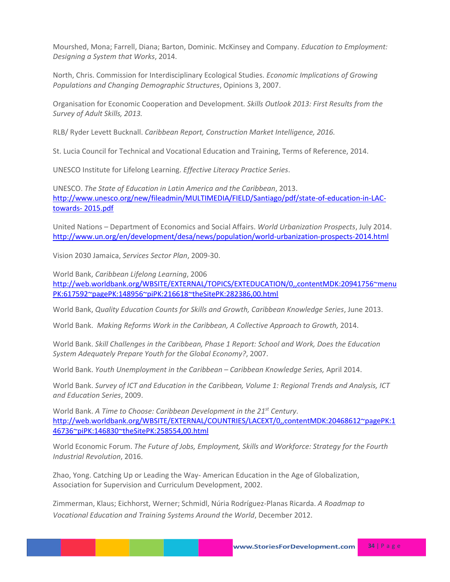Mourshed, Mona; Farrell, Diana; Barton, Dominic. McKinsey and Company. *Education to Employment: Designing a System that Works*, 2014.

North, Chris. Commission for Interdisciplinary Ecological Studies. *Economic Implications of Growing Populations and Changing Demographic Structures*, Opinions 3, 2007.

Organisation for Economic Cooperation and Development*. Skills Outlook 2013: First Results from the Survey of Adult Skills, 2013.*

RLB/ Ryder Levett Bucknall. *Caribbean Report, Construction Market Intelligence, 2016.*

St. Lucia Council for Technical and Vocational Education and Training, Terms of Reference, 2014.

UNESCO Institute for Lifelong Learning. *Effective Literacy Practice Series*.

UNESCO. *The State of Education in Latin America and the Caribbean*, 2013. [http://www.unesco.org/new/fileadmin/MULTIMEDIA/FIELD/Santiago/pdf/state-of-education-in-LAC](http://www.unesco.org/new/fileadmin/MULTIMEDIA/FIELD/Santiago/pdf/state-of-education-in-LAC-towards-%202015.pdf)[towards-](http://www.unesco.org/new/fileadmin/MULTIMEDIA/FIELD/Santiago/pdf/state-of-education-in-LAC-towards-%202015.pdf) 2015.pdf

United Nations – Department of Economics and Social Affairs. *World Urbanization Prospects*, July 2014. <http://www.un.org/en/development/desa/news/population/world-urbanization-prospects-2014.html>

Vision 2030 Jamaica, *Services Sector Plan*, 2009-30.

World Bank, *Caribbean Lifelong Learning*, 2006

[http://web.worldbank.org/WBSITE/EXTERNAL/TOPICS/EXTEDUCATION/0,,contentMDK:20941756~menu](http://web.worldbank.org/WBSITE/EXTERNAL/TOPICS/EXTEDUCATION/0,,contentMDK:20941756~menuPK:617592~pagePK:148956~piPK:216618~theSitePK:282386,00.html) [PK:617592~pagePK:148956~piPK:216618~theSitePK:282386,00.html](http://web.worldbank.org/WBSITE/EXTERNAL/TOPICS/EXTEDUCATION/0,,contentMDK:20941756~menuPK:617592~pagePK:148956~piPK:216618~theSitePK:282386,00.html)

World Bank, *Quality Education Counts for Skills and Growth, Caribbean Knowledge Series*, June 2013.

World Bank. *Making Reforms Work in the Caribbean, A Collective Approach to Growth,* 2014.

World Bank. *Skill Challenges in the Caribbean, Phase 1 Report: School and Work, Does the Education System Adequately Prepare Youth for the Global Economy?*, 2007.

World Bank. *Youth Unemployment in the Caribbean – Caribbean Knowledge Series,* April 2014.

World Bank. *Survey of ICT and Education in the Caribbean, Volume 1: Regional Trends and Analysis, ICT and Education Series*, 2009.

World Bank. *A Time to Choose: Caribbean Development in the 21st Century*. [http://web.worldbank.org/WBSITE/EXTERNAL/COUNTRIES/LACEXT/0,,contentMDK:20468612~pagePK:1](http://web.worldbank.org/WBSITE/EXTERNAL/COUNTRIES/LACEXT/0,,contentMDK:20468612~pagePK:146736~piPK:146830~theSitePK:258554,00.html) [46736~piPK:146830~theSitePK:258554,00.html](http://web.worldbank.org/WBSITE/EXTERNAL/COUNTRIES/LACEXT/0,,contentMDK:20468612~pagePK:146736~piPK:146830~theSitePK:258554,00.html)

World Economic Forum. *The Future of Jobs, Employment, Skills and Workforce: Strategy for the Fourth Industrial Revolution*, 2016.

Zhao, Yong. Catching Up or Leading the Way- American Education in the Age of Globalization, Association for Supervision and Curriculum Development, 2002.

Zimmerman, Klaus; Eichhorst, Werner; Schmidl, Núria Rodríguez-Planas Ricarda. *A Roadmap to Vocational Education and Training Systems Around the World*, December 2012.